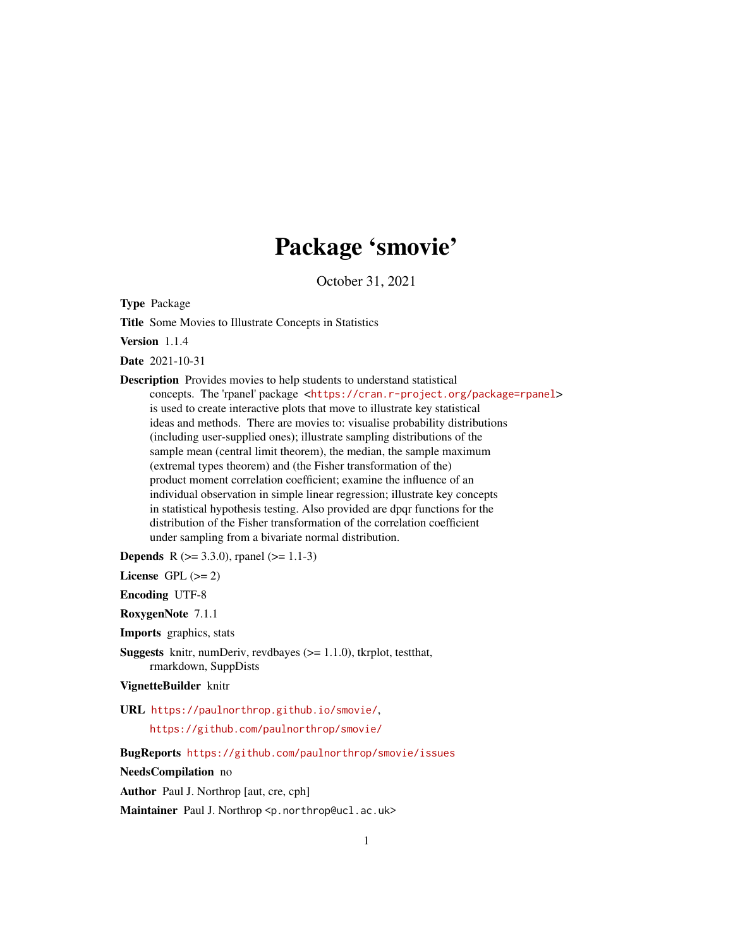# Package 'smovie'

October 31, 2021

<span id="page-0-0"></span>Type Package

Title Some Movies to Illustrate Concepts in Statistics

Version 1.1.4

Date 2021-10-31

Description Provides movies to help students to understand statistical concepts. The 'rpanel' package <<https://cran.r-project.org/package=rpanel>> is used to create interactive plots that move to illustrate key statistical ideas and methods. There are movies to: visualise probability distributions (including user-supplied ones); illustrate sampling distributions of the sample mean (central limit theorem), the median, the sample maximum (extremal types theorem) and (the Fisher transformation of the) product moment correlation coefficient; examine the influence of an individual observation in simple linear regression; illustrate key concepts in statistical hypothesis testing. Also provided are dpqr functions for the distribution of the Fisher transformation of the correlation coefficient under sampling from a bivariate normal distribution.

**Depends** R ( $>= 3.3.0$ ), rpanel ( $>= 1.1-3$ )

License GPL  $(>= 2)$ 

Encoding UTF-8

RoxygenNote 7.1.1

Imports graphics, stats

Suggests knitr, numDeriv, revdbayes (>= 1.1.0), tkrplot, testthat, rmarkdown, SuppDists

VignetteBuilder knitr

URL <https://paulnorthrop.github.io/smovie/>, <https://github.com/paulnorthrop/smovie/>

BugReports <https://github.com/paulnorthrop/smovie/issues>

NeedsCompilation no

Author Paul J. Northrop [aut, cre, cph]

Maintainer Paul J. Northrop <p.northrop@ucl.ac.uk>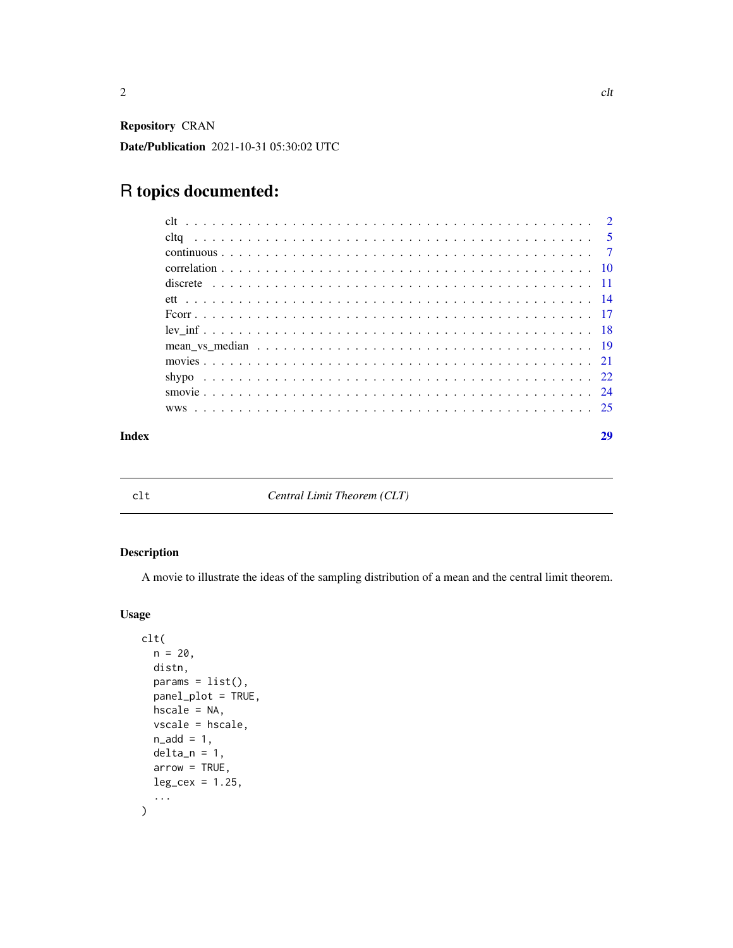<span id="page-1-0"></span>Repository CRAN

Date/Publication 2021-10-31 05:30:02 UTC

# R topics documented:

| Index | 29 |
|-------|----|
|       |    |
|       |    |
|       |    |
|       |    |
|       |    |
|       |    |
|       |    |
|       |    |
|       |    |
|       |    |
|       |    |
|       |    |
|       |    |

<span id="page-1-1"></span>

clt *Central Limit Theorem (CLT)*

# Description

A movie to illustrate the ideas of the sampling distribution of a mean and the central limit theorem.

```
clt(
  n = 20,
  distn,
  params = list(),panel_plot = TRUE,
  hscale = NA,
  vscale = hscale,
  n\_add = 1,
  delta_n = 1,
  arrow = TRUE,
  leg\_cex = 1.25,
  ...
\overline{\phantom{a}}
```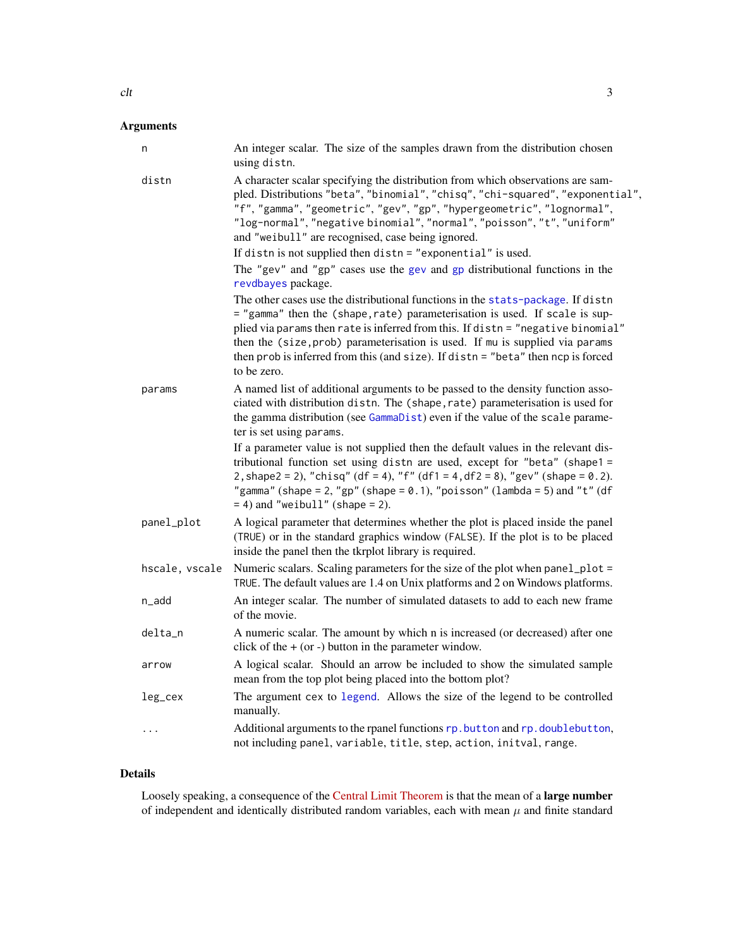# <span id="page-2-0"></span>Arguments

| n              | An integer scalar. The size of the samples drawn from the distribution chosen<br>using distn.                                                                                                                                                                                                                                                                                                                                         |
|----------------|---------------------------------------------------------------------------------------------------------------------------------------------------------------------------------------------------------------------------------------------------------------------------------------------------------------------------------------------------------------------------------------------------------------------------------------|
| distn          | A character scalar specifying the distribution from which observations are sam-<br>pled. Distributions "beta", "binomial", "chisq", "chi-squared", "exponential",<br>"f", "gamma", "geometric", "gev", "gp", "hypergeometric", "lognormal",<br>"log-normal", "negative binomial", "normal", "poisson", "t", "uniform"<br>and "weibull" are recognised, case being ignored.                                                            |
|                | If distn is not supplied then $distn = "exponential"$ is used.                                                                                                                                                                                                                                                                                                                                                                        |
|                | The "gev" and "gp" cases use the gev and gp distributional functions in the<br>revdbayes package.                                                                                                                                                                                                                                                                                                                                     |
|                | The other cases use the distributional functions in the stats-package. If distn<br>= "gamma" then the (shape, rate) parameterisation is used. If scale is sup-<br>plied via params then rate is inferred from this. If distn = "negative binomial"<br>then the (size, prob) parameterisation is used. If mu is supplied via params<br>then prob is inferred from this (and size). If distn = "beta" then ncp is forced<br>to be zero. |
| params         | A named list of additional arguments to be passed to the density function asso-<br>ciated with distribution distn. The (shape, rate) parameterisation is used for<br>the gamma distribution (see GammaDist) even if the value of the scale parame-<br>ter is set using params.                                                                                                                                                        |
|                | If a parameter value is not supplied then the default values in the relevant dis-<br>tributional function set using distn are used, except for "beta" (shape1 =<br>2, shape $2 = 2$ ), "chisq" (df = 4), "f" (df1 = 4, df2 = 8), "gev" (shape = $0.2$ ).<br>"gamma" (shape = 2, "gp" (shape = $0.1$ ), "poisson" (lambda = $5$ ) and "t" (df<br>$= 4$ ) and "weibull" (shape $= 2$ ).                                                 |
| panel_plot     | A logical parameter that determines whether the plot is placed inside the panel<br>(TRUE) or in the standard graphics window (FALSE). If the plot is to be placed<br>inside the panel then the tkrplot library is required.                                                                                                                                                                                                           |
| hscale, vscale | Numeric scalars. Scaling parameters for the size of the plot when panel_plot =<br>TRUE. The default values are 1.4 on Unix platforms and 2 on Windows platforms.                                                                                                                                                                                                                                                                      |
| n_add          | An integer scalar. The number of simulated datasets to add to each new frame<br>of the movie.                                                                                                                                                                                                                                                                                                                                         |
| delta_n        | A numeric scalar. The amount by which n is increased (or decreased) after one<br>click of the $+$ (or -) button in the parameter window.                                                                                                                                                                                                                                                                                              |
| arrow          | A logical scalar. Should an arrow be included to show the simulated sample<br>mean from the top plot being placed into the bottom plot?                                                                                                                                                                                                                                                                                               |
| leg_cex        | The argument cex to legend. Allows the size of the legend to be controlled<br>manually.                                                                                                                                                                                                                                                                                                                                               |
| $\cdots$       | Additional arguments to the rpanel functions rp. button and rp. doublebutton,<br>not including panel, variable, title, step, action, initval, range.                                                                                                                                                                                                                                                                                  |

# Details

Loosely speaking, a consequence of the [Central Limit Theorem](https://en.wikipedia.org/wiki/Central_limit_theorem) is that the mean of a large number of independent and identically distributed random variables, each with mean  $\mu$  and finite standard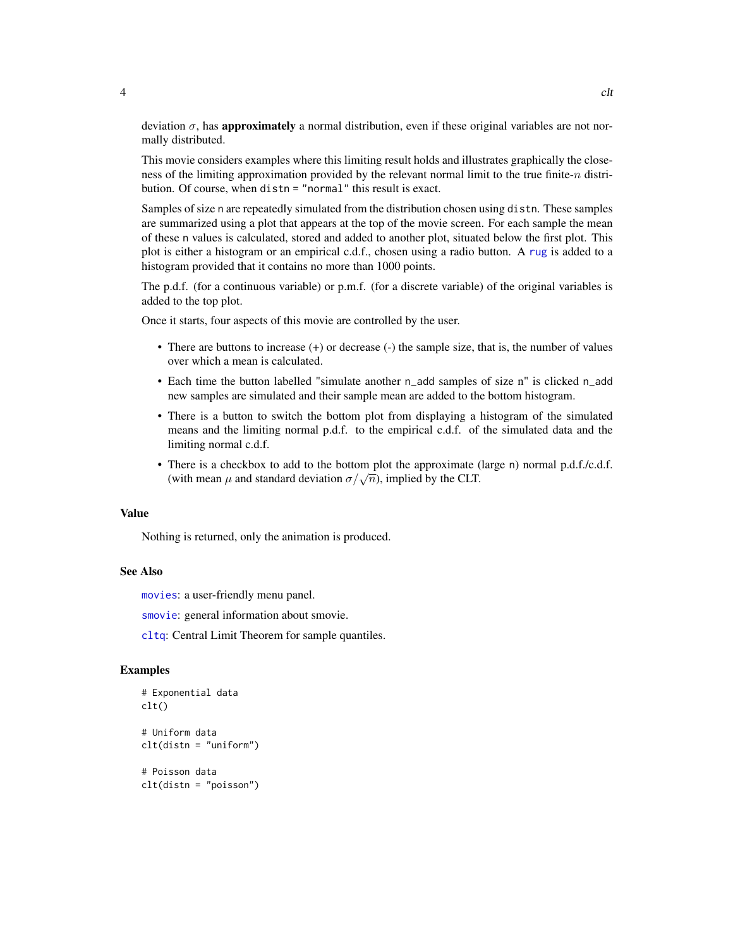deviation  $\sigma$ , has **approximately** a normal distribution, even if these original variables are not normally distributed.

This movie considers examples where this limiting result holds and illustrates graphically the closeness of the limiting approximation provided by the relevant normal limit to the true finite- $n$  distribution. Of course, when distn = "normal" this result is exact.

Samples of size n are repeatedly simulated from the distribution chosen using distn. These samples are summarized using a plot that appears at the top of the movie screen. For each sample the mean of these n values is calculated, stored and added to another plot, situated below the first plot. This plot is either a histogram or an empirical c.d.f., chosen using a radio button. A [rug](#page-0-0) is added to a histogram provided that it contains no more than 1000 points.

The p.d.f. (for a continuous variable) or p.m.f. (for a discrete variable) of the original variables is added to the top plot.

Once it starts, four aspects of this movie are controlled by the user.

- There are buttons to increase (+) or decrease (-) the sample size, that is, the number of values over which a mean is calculated.
- Each time the button labelled "simulate another n\_add samples of size n" is clicked n\_add new samples are simulated and their sample mean are added to the bottom histogram.
- There is a button to switch the bottom plot from displaying a histogram of the simulated means and the limiting normal p.d.f. to the empirical c.d.f. of the simulated data and the limiting normal c.d.f.
- There is a checkbox to add to the bottom plot the approximate (large n) normal p.d.f./c.d.f. There is a checkbox to add to the bottom plot the approximate (<br>(with mean  $\mu$  and standard deviation  $\sigma/\sqrt{n}$ ), implied by the CLT.

#### Value

Nothing is returned, only the animation is produced.

#### See Also

[movies](#page-20-1): a user-friendly menu panel.

[smovie](#page-23-1): general information about smovie.

[cltq](#page-4-1): Central Limit Theorem for sample quantiles.

#### Examples

```
# Exponential data
clt()
# Uniform data
clt(distn = "uniform")
# Poisson data
clt(distn = "poisson")
```
<span id="page-3-0"></span>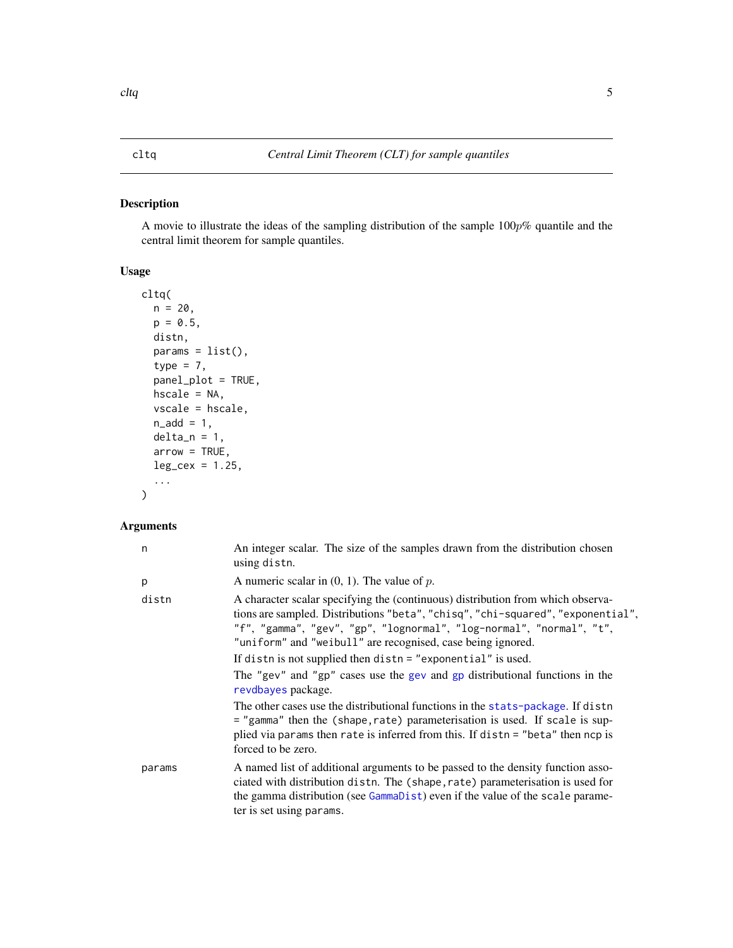# <span id="page-4-1"></span><span id="page-4-0"></span>Description

A movie to illustrate the ideas of the sampling distribution of the sample 100p% quantile and the central limit theorem for sample quantiles.

# Usage

```
cltq(
  n = 20,
  p = 0.5,
  distn,
  params = list(),type = 7,
  panel_plot = TRUE,
  hscale = NA,
  vscale = hscale,
  n\_add = 1,
  delta_n = 1,
  arrow = TRUE,leg\_cex = 1.25,
  ...
\mathcal{L}
```

| n      | An integer scalar. The size of the samples drawn from the distribution chosen<br>using distn.                                                                                                                                                                                                             |
|--------|-----------------------------------------------------------------------------------------------------------------------------------------------------------------------------------------------------------------------------------------------------------------------------------------------------------|
| p      | A numeric scalar in $(0, 1)$ . The value of $p$ .                                                                                                                                                                                                                                                         |
| distn  | A character scalar specifying the (continuous) distribution from which observa-<br>tions are sampled. Distributions "beta", "chisq", "chi-squared", "exponential",<br>"f", "gamma", "gev", "gp", "lognormal", "log-normal", "normal", "t",<br>"uniform" and "weibull" are recognised, case being ignored. |
|        | If distn is not supplied then $distn = "exponential"$ is used.                                                                                                                                                                                                                                            |
|        | The "gev" and "gp" cases use the gev and gp distributional functions in the<br>revdbayes package.                                                                                                                                                                                                         |
|        | The other cases use the distributional functions in the stats-package. If distn<br>= "gamma" then the (shape, rate) parameterisation is used. If scale is sup-<br>plied via params then rate is inferred from this. If distn = "beta" then ncp is<br>forced to be zero.                                   |
| params | A named list of additional arguments to be passed to the density function asso-<br>ciated with distribution distn. The (shape, rate) parameterisation is used for<br>the gamma distribution (see GammaDist) even if the value of the scale parame-<br>ter is set using params.                            |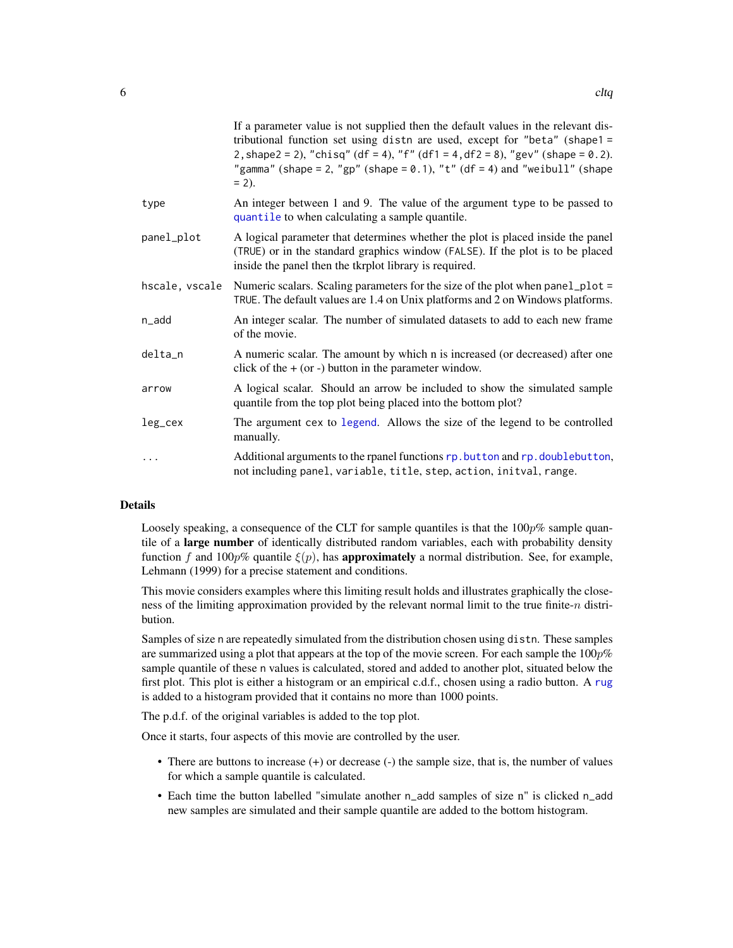<span id="page-5-0"></span>

|                | If a parameter value is not supplied then the default values in the relevant dis-<br>tributional function set using distn are used, except for "beta" (shape1 =<br>2, shape $2 = 2$ ), "chisq" (df = 4), "f" (df1 = 4, df2 = 8), "gev" (shape = 0.2).<br>"gamma" (shape = 2, "gp" (shape = $0.1$ ), "t" (df = 4) and "weibull" (shape<br>$= 2$ ). |
|----------------|---------------------------------------------------------------------------------------------------------------------------------------------------------------------------------------------------------------------------------------------------------------------------------------------------------------------------------------------------|
| type           | An integer between 1 and 9. The value of the argument type to be passed to<br>quantile to when calculating a sample quantile.                                                                                                                                                                                                                     |
| panel_plot     | A logical parameter that determines whether the plot is placed inside the panel<br>(TRUE) or in the standard graphics window (FALSE). If the plot is to be placed<br>inside the panel then the tkrplot library is required.                                                                                                                       |
| hscale, vscale | Numeric scalars. Scaling parameters for the size of the plot when panel_plot =<br>TRUE. The default values are 1.4 on Unix platforms and 2 on Windows platforms.                                                                                                                                                                                  |
| n_add          | An integer scalar. The number of simulated datasets to add to each new frame<br>of the movie.                                                                                                                                                                                                                                                     |
| delta_n        | A numeric scalar. The amount by which n is increased (or decreased) after one<br>click of the $+$ (or -) button in the parameter window.                                                                                                                                                                                                          |
| arrow          | A logical scalar. Should an arrow be included to show the simulated sample<br>quantile from the top plot being placed into the bottom plot?                                                                                                                                                                                                       |
| leg_cex        | The argument cex to legend. Allows the size of the legend to be controlled<br>manually.                                                                                                                                                                                                                                                           |
| .              | Additional arguments to the rpanel functions rp. but ton and rp. doublebut ton,<br>not including panel, variable, title, step, action, initval, range.                                                                                                                                                                                            |
|                |                                                                                                                                                                                                                                                                                                                                                   |

#### Details

Loosely speaking, a consequence of the CLT for sample quantiles is that the  $100p\%$  sample quantile of a large number of identically distributed random variables, each with probability density function f and 100p% quantile  $\xi(p)$ , has **approximately** a normal distribution. See, for example, Lehmann (1999) for a precise statement and conditions.

This movie considers examples where this limiting result holds and illustrates graphically the closeness of the limiting approximation provided by the relevant normal limit to the true finite- $n$  distribution.

Samples of size n are repeatedly simulated from the distribution chosen using distn. These samples are summarized using a plot that appears at the top of the movie screen. For each sample the  $100p\%$ sample quantile of these n values is calculated, stored and added to another plot, situated below the first plot. This plot is either a histogram or an empirical c.d.f., chosen using a radio button. A [rug](#page-0-0) is added to a histogram provided that it contains no more than 1000 points.

The p.d.f. of the original variables is added to the top plot.

Once it starts, four aspects of this movie are controlled by the user.

- There are buttons to increase (+) or decrease (-) the sample size, that is, the number of values for which a sample quantile is calculated.
- Each time the button labelled "simulate another n\_add samples of size n" is clicked n\_add new samples are simulated and their sample quantile are added to the bottom histogram.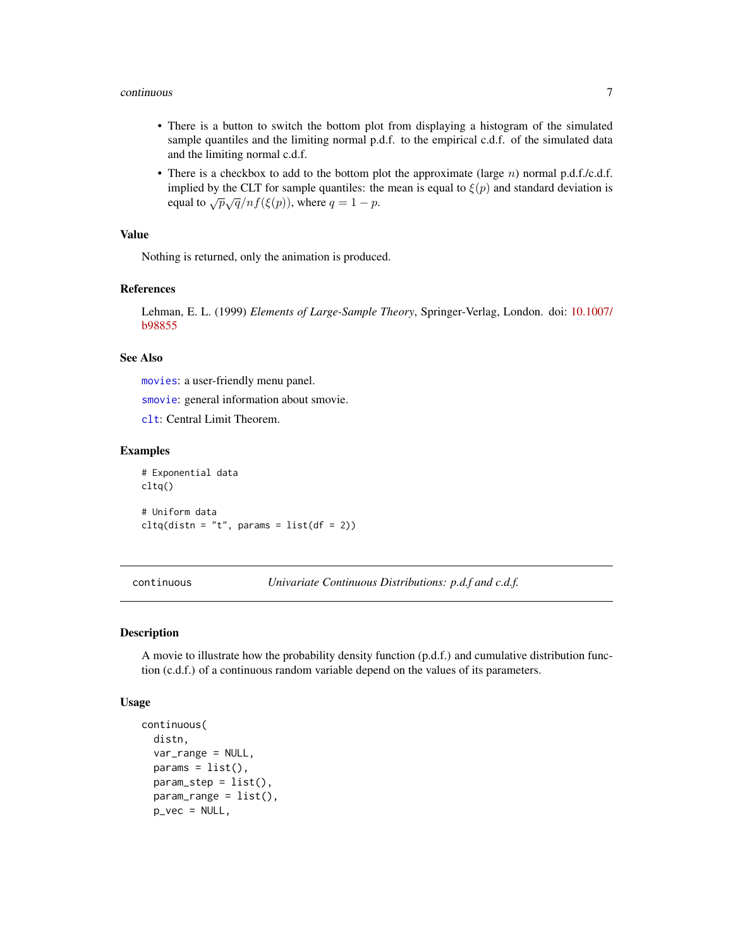#### <span id="page-6-0"></span>continuous 7

- There is a button to switch the bottom plot from displaying a histogram of the simulated sample quantiles and the limiting normal p.d.f. to the empirical c.d.f. of the simulated data and the limiting normal c.d.f.
- There is a checkbox to add to the bottom plot the approximate (large  $n$ ) normal p.d.f./c.d.f. implied by the CLT for sample quantiles: the mean is equal to  $\xi(p)$  and standard deviation is equal to  $\sqrt{p}\sqrt{q}/nf(\xi(p))$ , where  $q = 1 - p$ .

#### Value

Nothing is returned, only the animation is produced.

#### References

Lehman, E. L. (1999) *Elements of Large-Sample Theory*, Springer-Verlag, London. doi: [10.1007/](https://doi.org/10.1007/b98855) [b98855](https://doi.org/10.1007/b98855)

#### See Also

[movies](#page-20-1): a user-friendly menu panel.

[smovie](#page-23-1): general information about smovie.

[clt](#page-1-1): Central Limit Theorem.

#### Examples

# Exponential data cltq() # Uniform data  $cltq(distn = "t", \text{params} = list(df = 2))$ 

<span id="page-6-1"></span>continuous *Univariate Continuous Distributions: p.d.f and c.d.f.*

#### Description

A movie to illustrate how the probability density function (p.d.f.) and cumulative distribution function (c.d.f.) of a continuous random variable depend on the values of its parameters.

```
continuous(
  distn,
  var_range = NULL,
  params = list(),
  param\_step = list(),param_range = list(),p_{\text{v}ee} = NULL,
```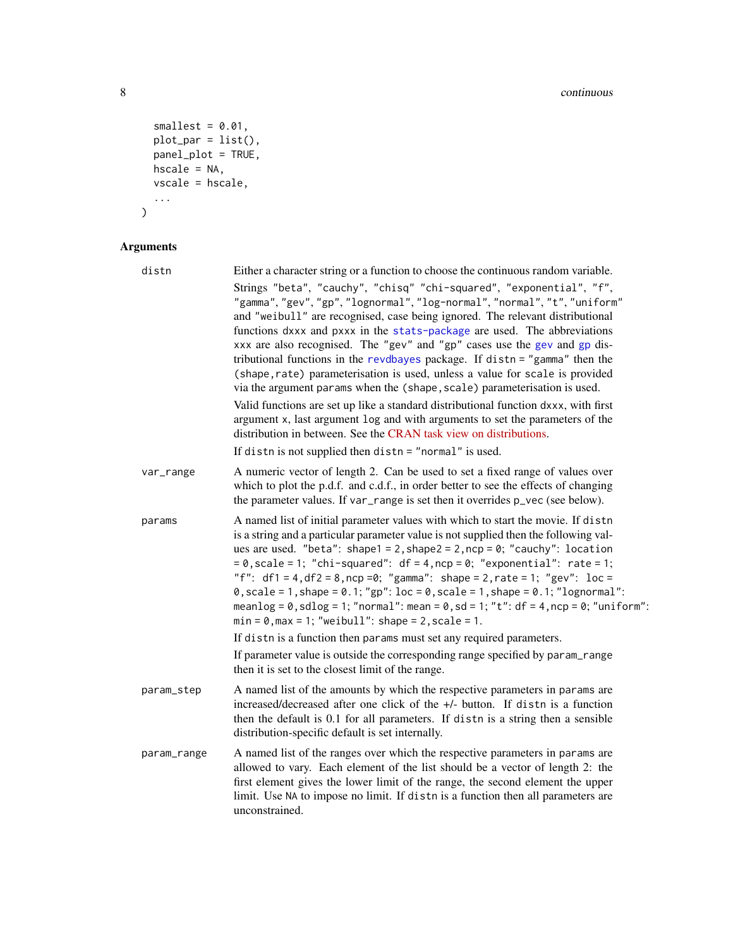```
smallest = 0.01,
  plot\_par = list(),panel_plot = TRUE,
  hscale = NA,vscale = \n  <i>hscale</i>,...
\lambda
```

| distn       | Either a character string or a function to choose the continuous random variable.                                                                                                                                                                                                                                                                                                                                                                                                                                                                                                                                                                                                                                                                                                                                                                                                    |
|-------------|--------------------------------------------------------------------------------------------------------------------------------------------------------------------------------------------------------------------------------------------------------------------------------------------------------------------------------------------------------------------------------------------------------------------------------------------------------------------------------------------------------------------------------------------------------------------------------------------------------------------------------------------------------------------------------------------------------------------------------------------------------------------------------------------------------------------------------------------------------------------------------------|
|             | Strings "beta", "cauchy", "chisq" "chi-squared", "exponential", "f",<br>"gamma", "gev", "gp", "lognormal", "log-normal", "normal", "t", "uniform"<br>and "weibull" are recognised, case being ignored. The relevant distributional<br>functions dxxx and pxxx in the stats-package are used. The abbreviations<br>xxx are also recognised. The "gev" and "gp" cases use the gev and gp dis-<br>tributional functions in the revdbayes package. If distn = "gamma" then the<br>(shape, rate) parameterisation is used, unless a value for scale is provided<br>via the argument params when the (shape, scale) parameterisation is used.<br>Valid functions are set up like a standard distributional function dxxx, with first<br>argument x, last argument log and with arguments to set the parameters of the<br>distribution in between. See the CRAN task view on distributions. |
|             | If distn is not supplied then distn $=$ "normal" is used.                                                                                                                                                                                                                                                                                                                                                                                                                                                                                                                                                                                                                                                                                                                                                                                                                            |
| var_range   | A numeric vector of length 2. Can be used to set a fixed range of values over<br>which to plot the p.d.f. and c.d.f., in order better to see the effects of changing<br>the parameter values. If var_range is set then it overrides p_vec (see below).                                                                                                                                                                                                                                                                                                                                                                                                                                                                                                                                                                                                                               |
| params      | A named list of initial parameter values with which to start the movie. If distn<br>is a string and a particular parameter value is not supplied then the following val-<br>ues are used. "beta": shape1 = 2, shape2 = 2, ncp = 0; "cauchy": location<br>$= 0$ , scale = 1; "chi-squared": df = 4, ncp = 0; "exponential": rate = 1;<br>"f": $df1 = 4$ , $df2 = 8$ , $ncp = 0$ ; "gamma": shape = 2, rate = 1; "gev": loc =<br>$0, scale = 1, shape = 0.1; "gp": loc = 0, scale = 1, shape = 0.1; "lognormal":$<br>meanlog = $0$ , sdlog = 1; "normal": mean = $0$ , sd = 1; "t": df = $4$ , ncp = $0$ ; "uniform":<br>$min = 0, max = 1;$ "weibull": shape = 2, scale = 1.                                                                                                                                                                                                          |
|             | If distn is a function then params must set any required parameters.                                                                                                                                                                                                                                                                                                                                                                                                                                                                                                                                                                                                                                                                                                                                                                                                                 |
|             | If parameter value is outside the corresponding range specified by param_range<br>then it is set to the closest limit of the range.                                                                                                                                                                                                                                                                                                                                                                                                                                                                                                                                                                                                                                                                                                                                                  |
| param_step  | A named list of the amounts by which the respective parameters in params are<br>increased/decreased after one click of the +/- button. If distn is a function<br>then the default is 0.1 for all parameters. If distn is a string then a sensible<br>distribution-specific default is set internally.                                                                                                                                                                                                                                                                                                                                                                                                                                                                                                                                                                                |
| param_range | A named list of the ranges over which the respective parameters in params are<br>allowed to vary. Each element of the list should be a vector of length 2: the<br>first element gives the lower limit of the range, the second element the upper<br>limit. Use NA to impose no limit. If distn is a function then all parameters are<br>unconstrained.                                                                                                                                                                                                                                                                                                                                                                                                                                                                                                                               |

<span id="page-7-0"></span>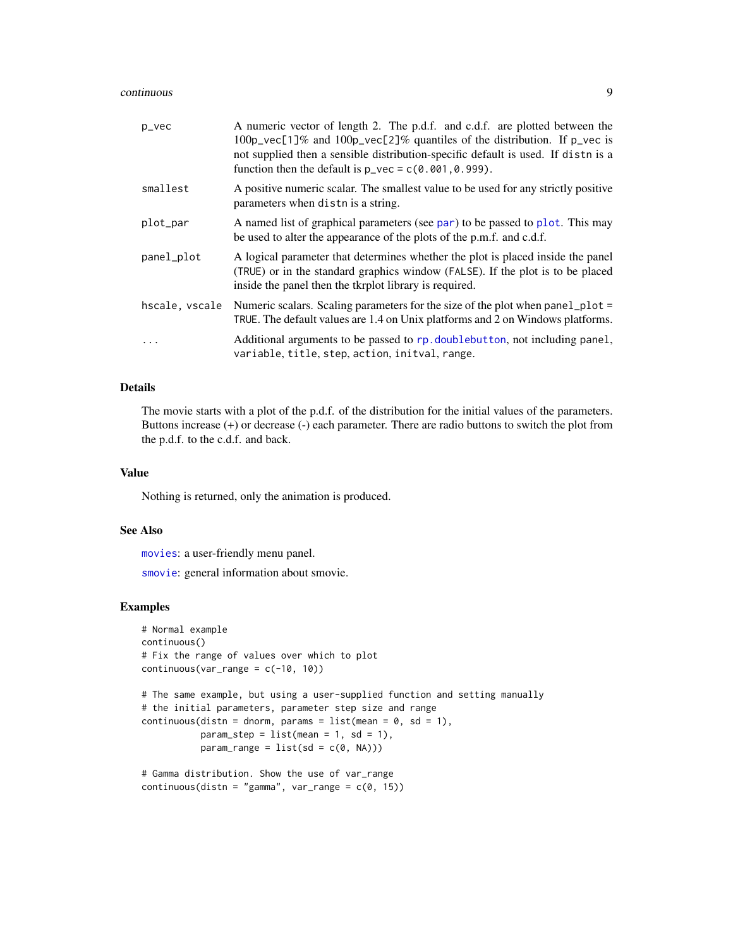#### <span id="page-8-0"></span>continuous and the continuous continuous continuous continuous continuous continuous continuous continuous continuous continuous continuous continuous continuous continuous continuous continuous continuous continuous conti

| p_vec      | A numeric vector of length 2. The p.d.f. and c.d.f. are plotted between the<br>100p_vec[1]% and 100p_vec[2]% quantiles of the distribution. If p_vec is<br>not supplied then a sensible distribution-specific default is used. If distn is a<br>function then the default is $p_{\text{vec}} = c(0.001, 0.999)$ . |
|------------|-------------------------------------------------------------------------------------------------------------------------------------------------------------------------------------------------------------------------------------------------------------------------------------------------------------------|
| smallest   | A positive numeric scalar. The smallest value to be used for any strictly positive<br>parameters when distor is a string.                                                                                                                                                                                         |
| plot_par   | A named list of graphical parameters (see par) to be passed to plot. This may<br>be used to alter the appearance of the plots of the p.m.f. and c.d.f.                                                                                                                                                            |
| panel_plot | A logical parameter that determines whether the plot is placed inside the panel<br>(TRUE) or in the standard graphics window (FALSE). If the plot is to be placed<br>inside the panel then the tkrplot library is required.                                                                                       |
|            | hscale, vscale Numeric scalars. Scaling parameters for the size of the plot when panel_plot =<br>TRUE. The default values are 1.4 on Unix platforms and 2 on Windows platforms.                                                                                                                                   |
| .          | Additional arguments to be passed to rp. doublebutton, not including panel,<br>variable, title, step, action, initval, range.                                                                                                                                                                                     |

#### Details

The movie starts with a plot of the p.d.f. of the distribution for the initial values of the parameters. Buttons increase (+) or decrease (-) each parameter. There are radio buttons to switch the plot from the p.d.f. to the c.d.f. and back.

### Value

Nothing is returned, only the animation is produced.

#### See Also

[movies](#page-20-1): a user-friendly menu panel.

[smovie](#page-23-1): general information about smovie.

### Examples

```
# Normal example
continuous()
# Fix the range of values over which to plot
continuous(var\_range = c(-10, 10))# The same example, but using a user-supplied function and setting manually
# the initial parameters, parameter step size and range
continuous(distn = dnorm, params = list(mean = 0, sd = 1),
           param\_step = list(mean = 1, sd = 1),param_range = list(sd = c(0, NA)))# Gamma distribution. Show the use of var_range
continuous(distn = "gamma", var_range = c(\theta, 15))
```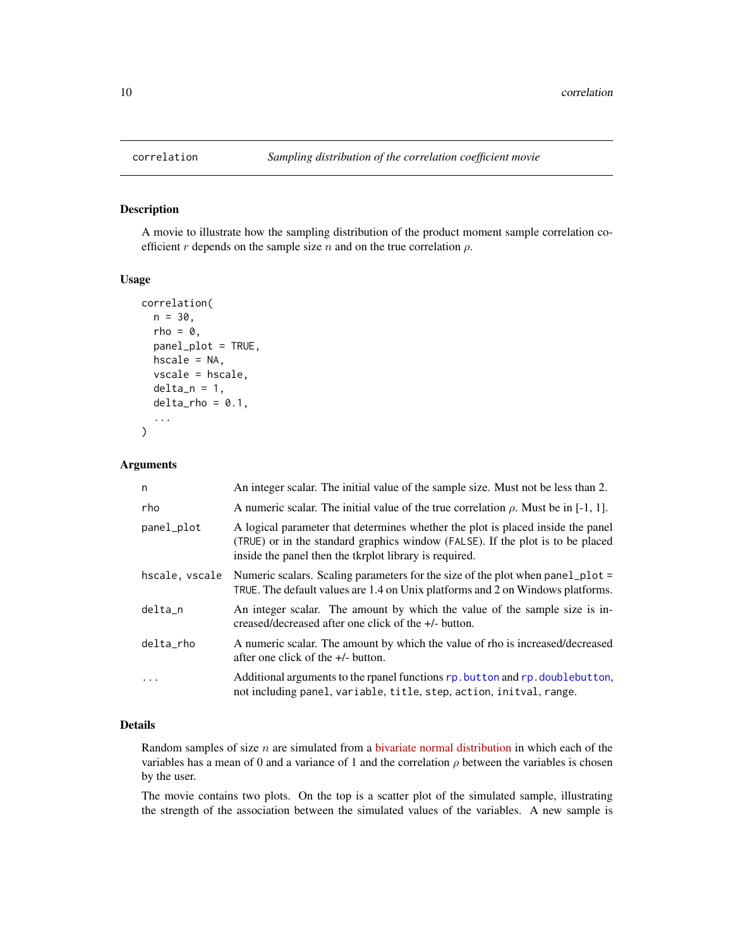#### Description

A movie to illustrate how the sampling distribution of the product moment sample correlation coefficient r depends on the sample size n and on the true correlation  $\rho$ .

#### Usage

```
correlation(
  n = 30,
  rho = 0.
 panel_plot = TRUE,
  hscale = NA,
  vscale = hscale,
  delta_n = 1,
  delta_rho = 0.1,
  ...
)
```
#### Arguments

| n              | An integer scalar. The initial value of the sample size. Must not be less than 2.                                                                                                                                           |
|----------------|-----------------------------------------------------------------------------------------------------------------------------------------------------------------------------------------------------------------------------|
| rho            | A numeric scalar. The initial value of the true correlation $\rho$ . Must be in [-1, 1].                                                                                                                                    |
| panel_plot     | A logical parameter that determines whether the plot is placed inside the panel<br>(TRUE) or in the standard graphics window (FALSE). If the plot is to be placed<br>inside the panel then the tkrplot library is required. |
| hscale, vscale | Numeric scalars. Scaling parameters for the size of the plot when panel_plot =<br>TRUE. The default values are 1.4 on Unix platforms and 2 on Windows platforms.                                                            |
| delta_n        | An integer scalar. The amount by which the value of the sample size is in-<br>creased/decreased after one click of the $+/-$ button.                                                                                        |
| delta_rho      | A numeric scalar. The amount by which the value of rho is increased/decreased<br>after one click of the $+/-$ button.                                                                                                       |
| $\ddots$       | Additional arguments to the rpanel functions rp. button and rp. doublebutton,<br>not including panel, variable, title, step, action, initval, range.                                                                        |

### Details

Random samples of size  $n$  are simulated from a [bivariate normal distribution](https://en.wikipedia.org/wiki/Multivariate_normal_distribution) in which each of the variables has a mean of 0 and a variance of 1 and the correlation  $\rho$  between the variables is chosen by the user.

The movie contains two plots. On the top is a scatter plot of the simulated sample, illustrating the strength of the association between the simulated values of the variables. A new sample is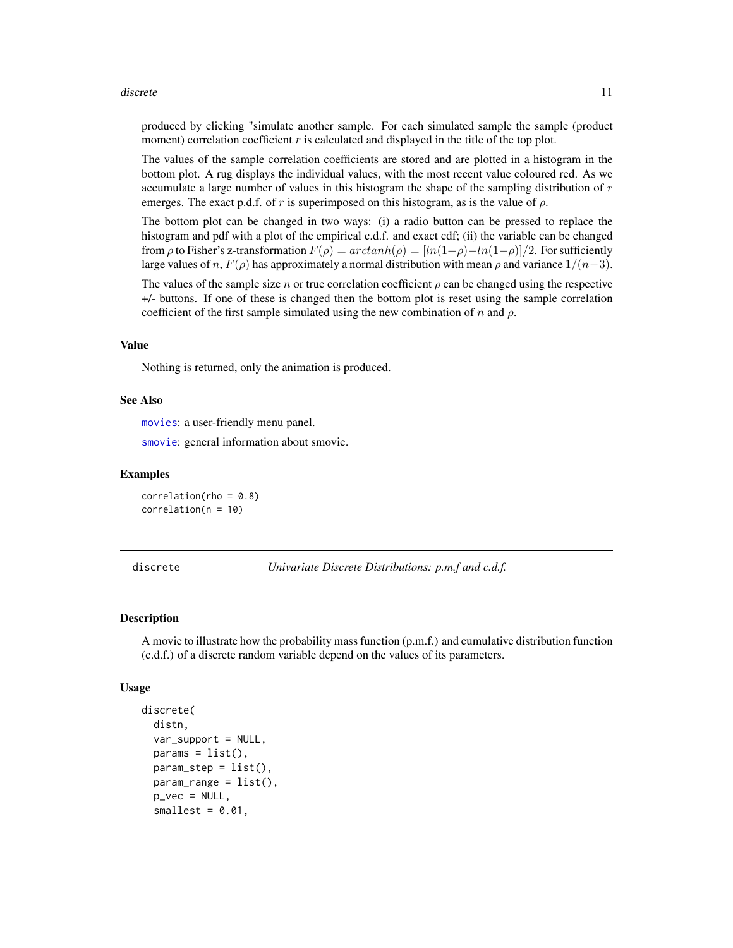#### <span id="page-10-0"></span>discrete the contract of the contract of the contract of the contract of the contract of the contract of the contract of the contract of the contract of the contract of the contract of the contract of the contract of the c

produced by clicking "simulate another sample. For each simulated sample the sample (product moment) correlation coefficient  $r$  is calculated and displayed in the title of the top plot.

The values of the sample correlation coefficients are stored and are plotted in a histogram in the bottom plot. A rug displays the individual values, with the most recent value coloured red. As we accumulate a large number of values in this histogram the shape of the sampling distribution of  $r$ emerges. The exact p.d.f. of r is superimposed on this histogram, as is the value of  $\rho$ .

The bottom plot can be changed in two ways: (i) a radio button can be pressed to replace the histogram and pdf with a plot of the empirical c.d.f. and exact cdf; (ii) the variable can be changed from  $\rho$  to Fisher's z-transformation  $F(\rho) = arctanh(\rho) = [ln(1+\rho)-ln(1-\rho)]/2$ . For sufficiently large values of n,  $F(\rho)$  has approximately a normal distribution with mean  $\rho$  and variance  $1/(n-3)$ .

The values of the sample size n or true correlation coefficient  $\rho$  can be changed using the respective +/- buttons. If one of these is changed then the bottom plot is reset using the sample correlation coefficient of the first sample simulated using the new combination of n and  $\rho$ .

#### Value

Nothing is returned, only the animation is produced.

#### See Also

[movies](#page-20-1): a user-friendly menu panel.

[smovie](#page-23-1): general information about smovie.

#### Examples

 $correlation(rho = 0.8)$ correlation(n = 10)

<span id="page-10-1"></span>discrete *Univariate Discrete Distributions: p.m.f and c.d.f.*

#### Description

A movie to illustrate how the probability mass function (p.m.f.) and cumulative distribution function (c.d.f.) of a discrete random variable depend on the values of its parameters.

```
discrete(
  distn,
  var_support = NULL,
  params = list(),param\_step = list(),
  param_range = list(),p_{\text{v}ee} = NULL,
  smallest = 0.01,
```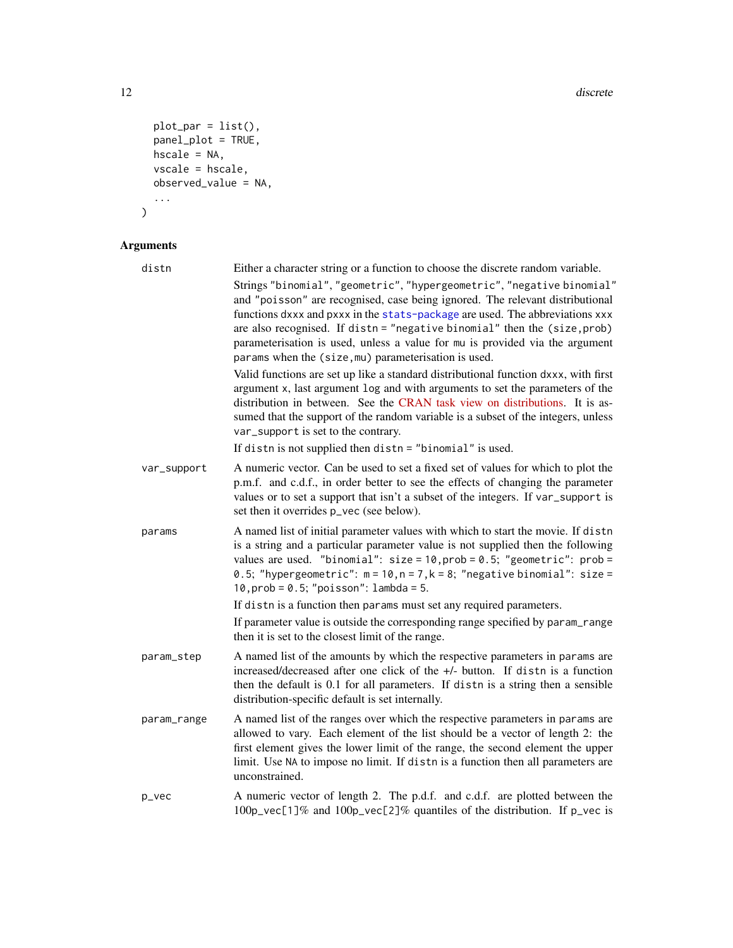```
plot\_par = list(),panel_plot = TRUE,
hscale = NA,
vscale = hscale,
observed_value = NA,
...
```
 $\overline{)}$ 

| distn       | Either a character string or a function to choose the discrete random variable.                                                                                                                                                                                                                                                                                                                                                                              |
|-------------|--------------------------------------------------------------------------------------------------------------------------------------------------------------------------------------------------------------------------------------------------------------------------------------------------------------------------------------------------------------------------------------------------------------------------------------------------------------|
|             | Strings "binomial", "geometric", "hypergeometric", "negative binomial"<br>and "poisson" are recognised, case being ignored. The relevant distributional<br>functions dxxx and pxxx in the stats-package are used. The abbreviations xxx<br>are also recognised. If distn = "negative binomial" then the (size, prob)<br>parameterisation is used, unless a value for mu is provided via the argument<br>params when the (size, mu) parameterisation is used. |
|             | Valid functions are set up like a standard distributional function dxxx, with first<br>argument x, last argument log and with arguments to set the parameters of the<br>distribution in between. See the CRAN task view on distributions. It is as-<br>sumed that the support of the random variable is a subset of the integers, unless<br>var_support is set to the contrary.                                                                              |
|             | If distn is not supplied then distn = "binomial" is used.                                                                                                                                                                                                                                                                                                                                                                                                    |
| var_support | A numeric vector. Can be used to set a fixed set of values for which to plot the<br>p.m.f. and c.d.f., in order better to see the effects of changing the parameter<br>values or to set a support that isn't a subset of the integers. If var_support is<br>set then it overrides $p_{\text{--}}$ vec (see below).                                                                                                                                           |
| params      | A named list of initial parameter values with which to start the movie. If distn<br>is a string and a particular parameter value is not supplied then the following<br>values are used. "binomial": $size = 10$ , $prob = 0.5$ ; "geometric": $prob =$<br>0.5; "hypergeometric": $m = 10$ , $n = 7$ , $k = 8$ ; "negative binomial": size =<br>$10, prob = 0.5; "poisson": lambda = 5.$                                                                      |
|             | If distn is a function then params must set any required parameters.                                                                                                                                                                                                                                                                                                                                                                                         |
|             | If parameter value is outside the corresponding range specified by param_range<br>then it is set to the closest limit of the range.                                                                                                                                                                                                                                                                                                                          |
| param_step  | A named list of the amounts by which the respective parameters in params are<br>increased/decreased after one click of the +/- button. If distn is a function<br>then the default is 0.1 for all parameters. If distn is a string then a sensible<br>distribution-specific default is set internally.                                                                                                                                                        |
| param_range | A named list of the ranges over which the respective parameters in params are<br>allowed to vary. Each element of the list should be a vector of length 2: the<br>first element gives the lower limit of the range, the second element the upper<br>limit. Use NA to impose no limit. If distn is a function then all parameters are<br>unconstrained.                                                                                                       |
| p_vec       | A numeric vector of length 2. The p.d.f. and c.d.f. are plotted between the<br>100p_vec[1]% and 100p_vec[2]% quantiles of the distribution. If p_vec is                                                                                                                                                                                                                                                                                                      |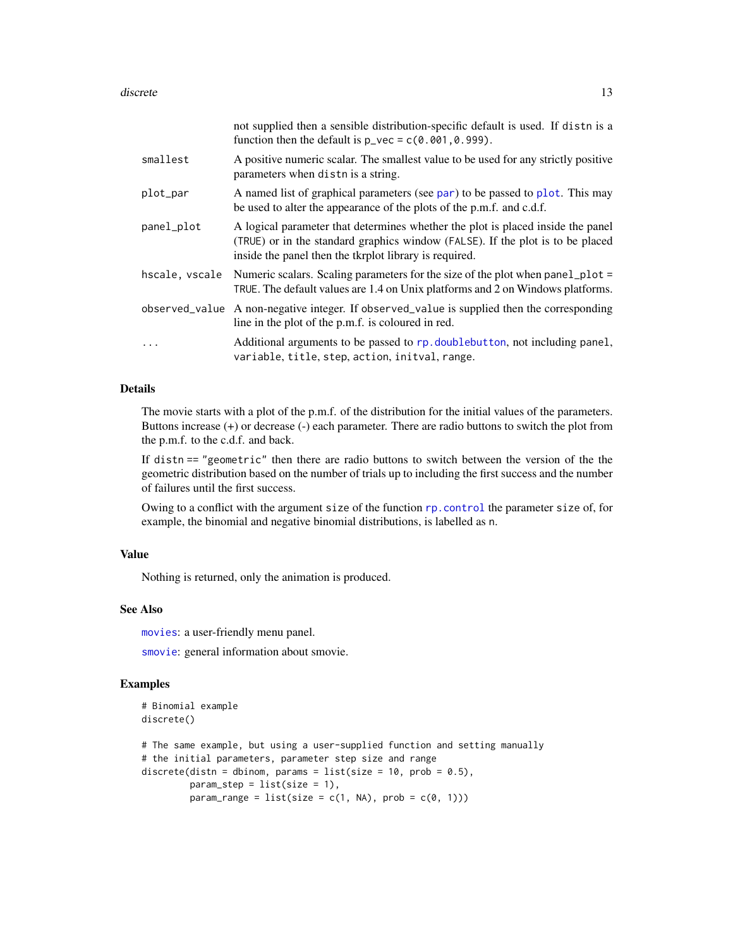<span id="page-12-0"></span>

|                | not supplied then a sensible distribution-specific default is used. If distn is a<br>function then the default is $p_{\text{vec}} = c(0.001, 0.999)$ .                                                                      |
|----------------|-----------------------------------------------------------------------------------------------------------------------------------------------------------------------------------------------------------------------------|
| smallest       | A positive numeric scalar. The smallest value to be used for any strictly positive<br>parameters when distor is a string.                                                                                                   |
| plot_par       | A named list of graphical parameters (see par) to be passed to plot. This may<br>be used to alter the appearance of the plots of the p.m.f. and c.d.f.                                                                      |
| panel_plot     | A logical parameter that determines whether the plot is placed inside the panel<br>(TRUE) or in the standard graphics window (FALSE). If the plot is to be placed<br>inside the panel then the tkrplot library is required. |
| hscale, vscale | Numeric scalars. Scaling parameters for the size of the plot when panel_plot =<br>TRUE. The default values are 1.4 on Unix platforms and 2 on Windows platforms.                                                            |
|                | observed_value A non-negative integer. If observed_value is supplied then the corresponding<br>line in the plot of the p.m.f. is coloured in red.                                                                           |
| .              | Additional arguments to be passed to rp. doublebut ton, not including panel,<br>variable, title, step, action, initval, range.                                                                                              |

### Details

The movie starts with a plot of the p.m.f. of the distribution for the initial values of the parameters. Buttons increase (+) or decrease (-) each parameter. There are radio buttons to switch the plot from the p.m.f. to the c.d.f. and back.

If distn == "geometric" then there are radio buttons to switch between the version of the the geometric distribution based on the number of trials up to including the first success and the number of failures until the first success.

Owing to a conflict with the argument size of the function [rp.control](#page-0-0) the parameter size of, for example, the binomial and negative binomial distributions, is labelled as n.

#### Value

Nothing is returned, only the animation is produced.

#### See Also

[movies](#page-20-1): a user-friendly menu panel.

[smovie](#page-23-1): general information about smovie.

#### Examples

```
# Binomial example
discrete()
# The same example, but using a user-supplied function and setting manually
# the initial parameters, parameter step size and range
discrete(distn = dbinom, params = list(size = 10, prob = 0.5),
        param\_step = list(size = 1),param_range = list(size = c(1, NA), prob = c(0, 1)))
```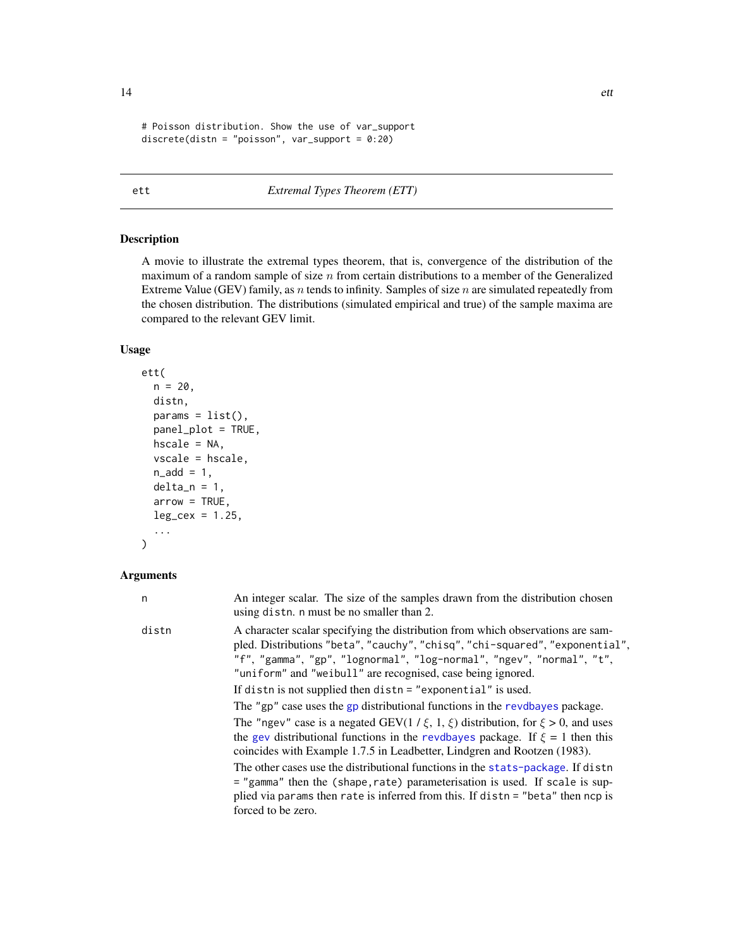```
# Poisson distribution. Show the use of var_support
discrete(distn = "poisson", var_support = 0:20)
```
<span id="page-13-1"></span>ett *Extremal Types Theorem (ETT)*

# Description

A movie to illustrate the extremal types theorem, that is, convergence of the distribution of the maximum of a random sample of size  $n$  from certain distributions to a member of the Generalized Extreme Value (GEV) family, as  $n$  tends to infinity. Samples of size  $n$  are simulated repeatedly from the chosen distribution. The distributions (simulated empirical and true) of the sample maxima are compared to the relevant GEV limit.

#### Usage

```
ett(
  n = 20,
  distn,
  params = list(),
  panel_plot = TRUE,
  hscale = NA,
  vscale = hscale,
  n\_add = 1,
  delta_n = 1,
  arrow = TRUE,
  leg\_cex = 1.25,
  ...
)
```

| n     | An integer scalar. The size of the samples drawn from the distribution chosen<br>using disth. n must be no smaller than 2.                                                                                                                                                                                                                                              |
|-------|-------------------------------------------------------------------------------------------------------------------------------------------------------------------------------------------------------------------------------------------------------------------------------------------------------------------------------------------------------------------------|
| distn | A character scalar specifying the distribution from which observations are sam-<br>pled. Distributions "beta", "cauchy", "chisq", "chi-squared", "exponential",<br>"f", "gamma", "gp", "lognormal", "log-normal", "ngev", "normal", "t",<br>"uniform" and "weibull" are recognised, case being ignored.<br>If distn is not supplied then distn = "exponential" is used. |
|       | The "gp" case uses the gp distributional functions in the revelogyes package.<br>The "ngev" case is a negated GEV(1/ $\xi$ , 1, $\xi$ ) distribution, for $\xi > 0$ , and uses<br>the gev distributional functions in the revoltages package. If $\xi = 1$ then this<br>coincides with Example 1.7.5 in Leadbetter, Lindgren and Rootzen (1983).                        |
|       | The other cases use the distributional functions in the stats-package. If distn<br>= "gamma" then the (shape, rate) parameterisation is used. If scale is sup-<br>plied via params then rate is inferred from this. If distn = "beta" then ncp is<br>forced to be zero.                                                                                                 |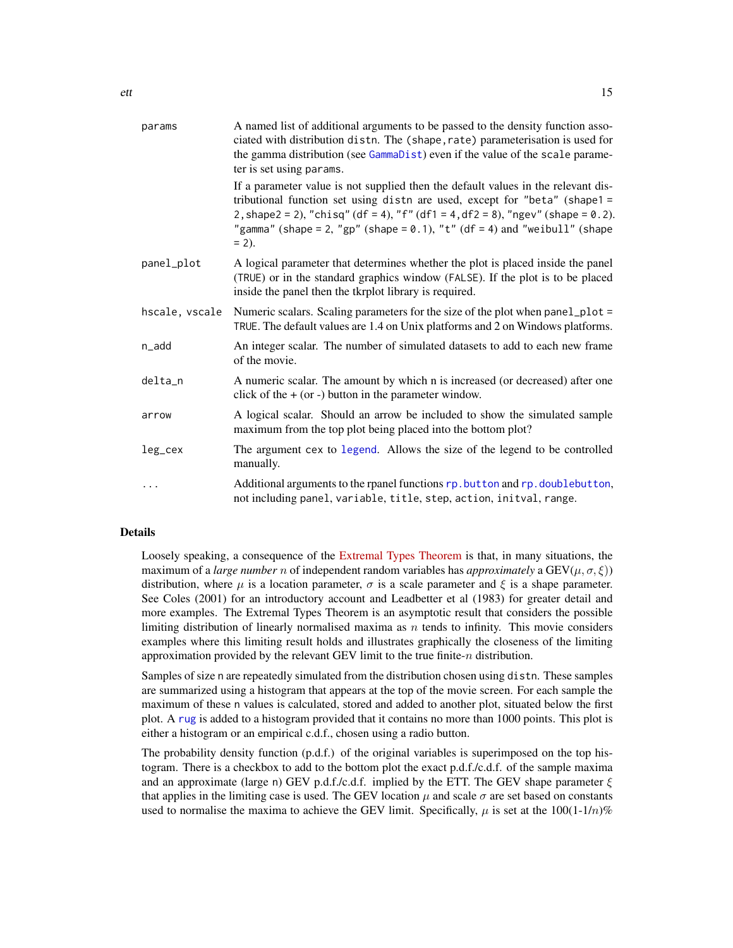<span id="page-14-0"></span>

| A named list of additional arguments to be passed to the density function asso-<br>ciated with distribution distn. The (shape, rate) parameterisation is used for<br>the gamma distribution (see GammaDist) even if the value of the scale parame-<br>ter is set using params.                                                                    |
|---------------------------------------------------------------------------------------------------------------------------------------------------------------------------------------------------------------------------------------------------------------------------------------------------------------------------------------------------|
| If a parameter value is not supplied then the default values in the relevant dis-<br>tributional function set using distn are used, except for "beta" (shape1 =<br>2, shape2 = 2), "chisq" (df = 4), "f" (df1 = 4, df2 = 8), "ngev" (shape = $0.2$ ).<br>"gamma" (shape = 2, "gp" (shape = $0.1$ ), "t" (df = 4) and "weibull" (shape<br>$= 2$ ). |
| A logical parameter that determines whether the plot is placed inside the panel<br>(TRUE) or in the standard graphics window (FALSE). If the plot is to be placed<br>inside the panel then the tkrplot library is required.                                                                                                                       |
| Numeric scalars. Scaling parameters for the size of the plot when panel_plot =<br>TRUE. The default values are 1.4 on Unix platforms and 2 on Windows platforms.                                                                                                                                                                                  |
| An integer scalar. The number of simulated datasets to add to each new frame<br>of the movie.                                                                                                                                                                                                                                                     |
| A numeric scalar. The amount by which n is increased (or decreased) after one<br>click of the $+$ (or -) button in the parameter window.                                                                                                                                                                                                          |
| A logical scalar. Should an arrow be included to show the simulated sample<br>maximum from the top plot being placed into the bottom plot?                                                                                                                                                                                                        |
| The argument cex to legend. Allows the size of the legend to be controlled<br>manually.                                                                                                                                                                                                                                                           |
| Additional arguments to the rpanel functions rp. button and rp. doublebutton,<br>not including panel, variable, title, step, action, initval, range.                                                                                                                                                                                              |
|                                                                                                                                                                                                                                                                                                                                                   |

### Details

Loosely speaking, a consequence of the [Extremal Types Theorem](https://en.wikipedia.org/wiki/Extreme_value_theory#Univariate_theory) is that, in many situations, the maximum of a *large number* n of independent random variables has *approximately* a  $GEV(\mu, \sigma, \xi)$ distribution, where  $\mu$  is a location parameter,  $\sigma$  is a scale parameter and  $\xi$  is a shape parameter. See Coles (2001) for an introductory account and Leadbetter et al (1983) for greater detail and more examples. The Extremal Types Theorem is an asymptotic result that considers the possible limiting distribution of linearly normalised maxima as  $n$  tends to infinity. This movie considers examples where this limiting result holds and illustrates graphically the closeness of the limiting approximation provided by the relevant GEV limit to the true finite- $n$  distribution.

Samples of size n are repeatedly simulated from the distribution chosen using distn. These samples are summarized using a histogram that appears at the top of the movie screen. For each sample the maximum of these n values is calculated, stored and added to another plot, situated below the first plot. A [rug](#page-0-0) is added to a histogram provided that it contains no more than 1000 points. This plot is either a histogram or an empirical c.d.f., chosen using a radio button.

The probability density function (p.d.f.) of the original variables is superimposed on the top histogram. There is a checkbox to add to the bottom plot the exact p.d.f./c.d.f. of the sample maxima and an approximate (large n) GEV p.d.f./c.d.f. implied by the ETT. The GEV shape parameter  $\xi$ that applies in the limiting case is used. The GEV location  $\mu$  and scale  $\sigma$  are set based on constants used to normalise the maxima to achieve the GEV limit. Specifically,  $\mu$  is set at the 100(1-1/n)%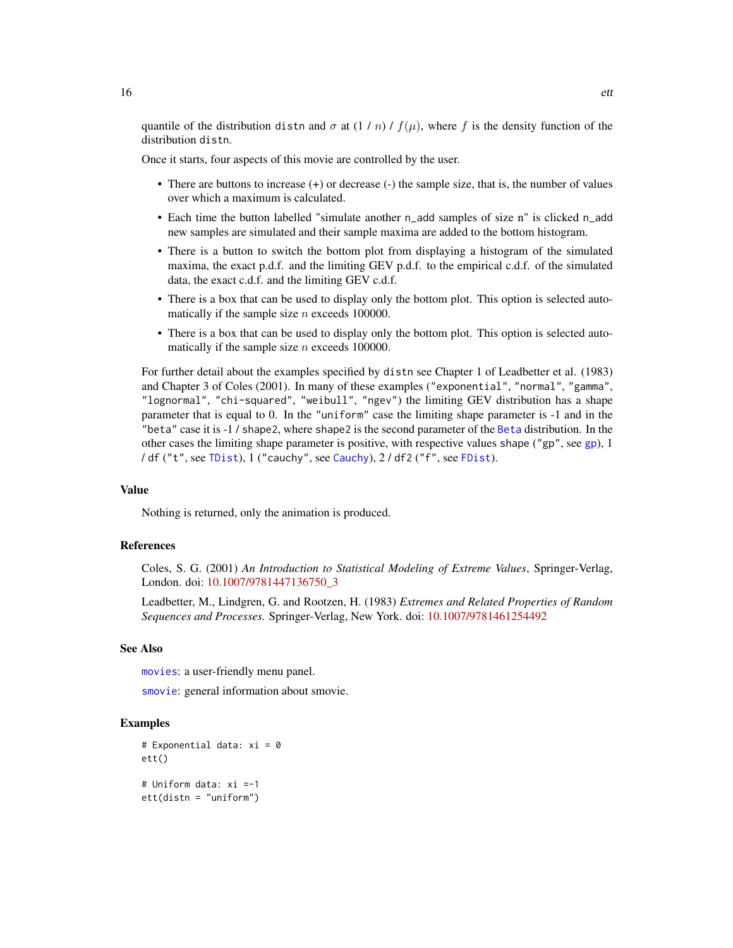<span id="page-15-0"></span>quantile of the distribution distn and  $\sigma$  at  $(1/n)$  /  $f(\mu)$ , where f is the density function of the distribution distn.

Once it starts, four aspects of this movie are controlled by the user.

- There are buttons to increase (+) or decrease (-) the sample size, that is, the number of values over which a maximum is calculated.
- Each time the button labelled "simulate another n\_add samples of size n" is clicked n\_add new samples are simulated and their sample maxima are added to the bottom histogram.
- There is a button to switch the bottom plot from displaying a histogram of the simulated maxima, the exact p.d.f. and the limiting GEV p.d.f. to the empirical c.d.f. of the simulated data, the exact c.d.f. and the limiting GEV c.d.f.
- There is a box that can be used to display only the bottom plot. This option is selected automatically if the sample size  $n$  exceeds 100000.
- There is a box that can be used to display only the bottom plot. This option is selected automatically if the sample size  $n$  exceeds 100000.

For further detail about the examples specified by distn see Chapter 1 of Leadbetter et al. (1983) and Chapter 3 of Coles (2001). In many of these examples ("exponential", "normal", "gamma", "lognormal", "chi-squared", "weibull", "ngev") the limiting GEV distribution has a shape parameter that is equal to 0. In the "uniform" case the limiting shape parameter is -1 and in the "beta" case it is -1 / shape2, where shape2 is the second parameter of the [Beta](#page-0-0) distribution. In the other cases the limiting shape parameter is positive, with respective values shape ("gp", see [gp](#page-0-0)), 1 / df ("t", see [TDist](#page-0-0)), 1 ("cauchy", see [Cauchy](#page-0-0)), 2 / df2 ("f", see [FDist](#page-0-0)).

#### Value

Nothing is returned, only the animation is produced.

#### References

Coles, S. G. (2001) *An Introduction to Statistical Modeling of Extreme Values*, Springer-Verlag, London. doi: [10.1007/9781447136750\\_3](https://doi.org/10.1007/978-1-4471-3675-0_3)

Leadbetter, M., Lindgren, G. and Rootzen, H. (1983) *Extremes and Related Properties of Random Sequences and Processes.* Springer-Verlag, New York. doi: [10.1007/9781461254492](https://doi.org/10.1007/978-1-4612-5449-2)

### See Also

[movies](#page-20-1): a user-friendly menu panel.

[smovie](#page-23-1): general information about smovie.

#### Examples

```
# Exponential data: xi = 0
ett()
# Uniform data: xi =-1
ett(distn = "uniform")
```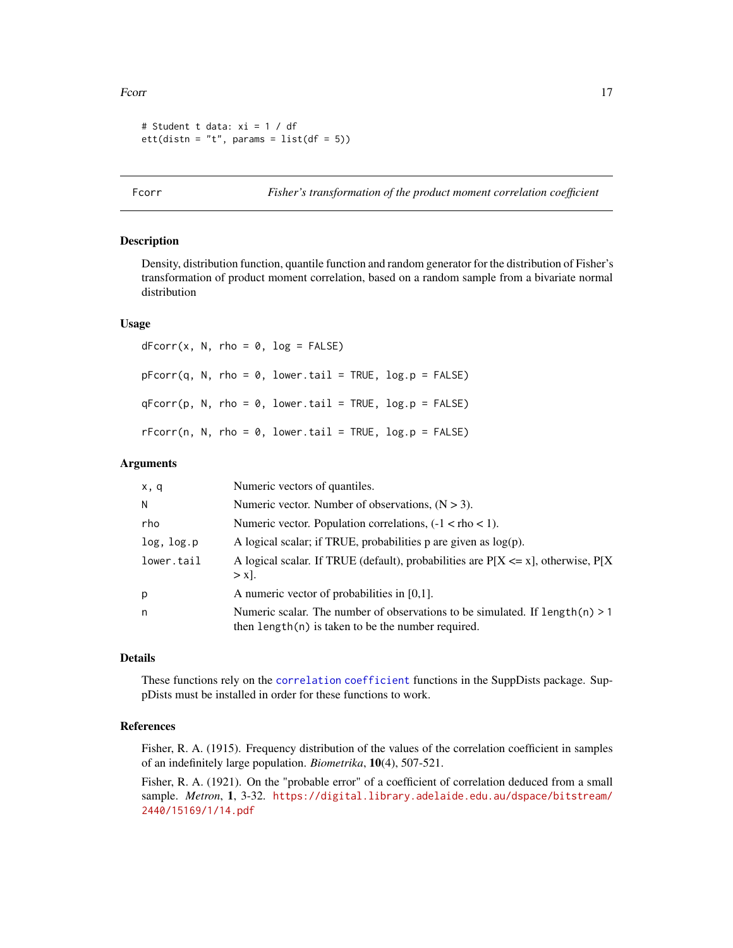#### <span id="page-16-0"></span>Fcorr 17

```
# Student t data: xi = 1 / df
ett(distr = "t", params = list(df = 5))
```
Fcorr *Fisher's transformation of the product moment correlation coefficient*

#### Description

Density, distribution function, quantile function and random generator for the distribution of Fisher's transformation of product moment correlation, based on a random sample from a bivariate normal distribution

#### Usage

 $dForr(x, N, rho = 0, log = FALSE)$  $pFcorr(q, N, rho = 0, lower.tail = TRUE, log.p = FALSE)$  $qFcorr(p, N, rho = 0, lower.tail = TRUE, log.p = FALSE)$  $rFcorr(n, N, rho = 0, lower.tail = TRUE, log.p = FALSE)$ 

#### Arguments

| x, q       | Numeric vectors of quantiles.                                                                                                              |
|------------|--------------------------------------------------------------------------------------------------------------------------------------------|
| N          | Numeric vector. Number of observations, $(N > 3)$ .                                                                                        |
| rho        | Numeric vector. Population correlations, $(-1 <$ rho $< 1$ ).                                                                              |
| log, log.p | A logical scalar; if TRUE, probabilities $p$ are given as $log(p)$ .                                                                       |
| lower.tail | A logical scalar. If TRUE (default), probabilities are $P[X \le x]$ , otherwise, $P[X]$<br>$> x$ ].                                        |
| p          | A numeric vector of probabilities in $[0,1]$ .                                                                                             |
| n          | Numeric scalar. The number of observations to be simulated. If $l$ ength $(n)$ > 1<br>then $length(n)$ is taken to be the number required. |

#### Details

These functions rely on the [correlation coefficient](#page-0-0) functions in the SuppDists package. SuppDists must be installed in order for these functions to work.

#### References

Fisher, R. A. (1915). Frequency distribution of the values of the correlation coefficient in samples of an indefinitely large population. *Biometrika*, 10(4), 507-521.

Fisher, R. A. (1921). On the "probable error" of a coefficient of correlation deduced from a small sample. *Metron*, 1, 3-32. [https://digital.library.adelaide.edu.au/dspace/bitstream/](https://digital.library.adelaide.edu.au/dspace/bitstream/2440/15169/1/14.pdf) [2440/15169/1/14.pdf](https://digital.library.adelaide.edu.au/dspace/bitstream/2440/15169/1/14.pdf)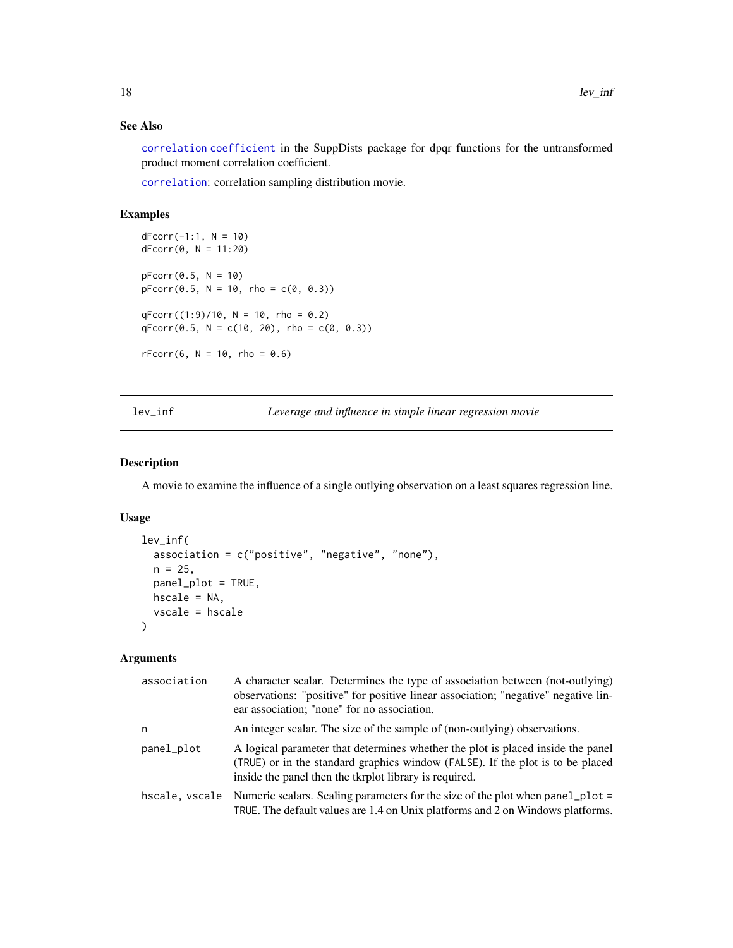### See Also

[correlation coefficient](#page-0-0) in the SuppDists package for dpqr functions for the untransformed product moment correlation coefficient.

[correlation](#page-9-1): correlation sampling distribution movie.

#### Examples

```
dForr(-1:1, N = 10)dFcorr(0, N = 11:20)pForr(0.5, N = 10)pFcorr(0.5, N = 10, rho = c(0, 0.3))qFcorr((1:9)/10, N = 10, rho = 0.2)qFcorr(0.5, N = c(10, 20), rho = c(0, 0.3))rFcorr(6, N = 10, rho = 0.6)
```
<span id="page-17-1"></span>lev\_inf *Leverage and influence in simple linear regression movie*

#### Description

A movie to examine the influence of a single outlying observation on a least squares regression line.

#### Usage

```
lev_inf(
  association = c("positive", "negative", "none"),
  n = 25,
  panel_plot = TRUE,
  hscale = NA,
  vscale = hscale
\mathcal{E}
```

| association | A character scalar. Determines the type of association between (not-outlying)<br>observations: "positive" for positive linear association; "negative" negative lin-<br>ear association; "none" for no association.          |
|-------------|-----------------------------------------------------------------------------------------------------------------------------------------------------------------------------------------------------------------------------|
| n           | An integer scalar. The size of the sample of (non-outlying) observations.                                                                                                                                                   |
| panel_plot  | A logical parameter that determines whether the plot is placed inside the panel<br>(TRUE) or in the standard graphics window (FALSE). If the plot is to be placed<br>inside the panel then the tkrplot library is required. |
|             | hscale, vscale Numeric scalars. Scaling parameters for the size of the plot when panel_plot =<br>TRUE. The default values are 1.4 on Unix platforms and 2 on Windows platforms.                                             |

<span id="page-17-0"></span>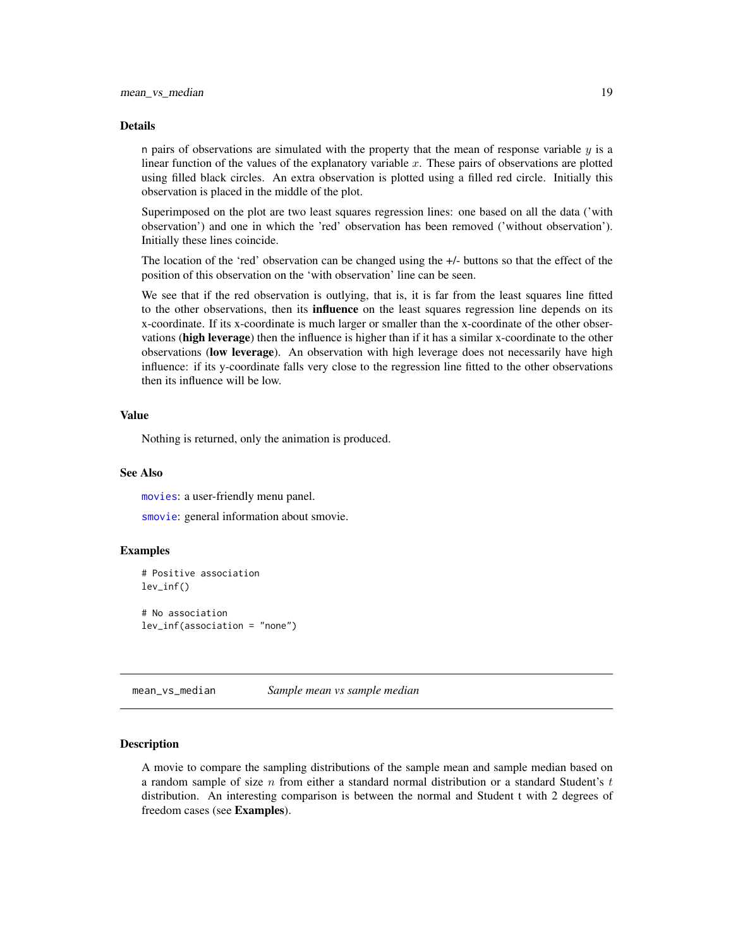#### <span id="page-18-0"></span>Details

n pairs of observations are simulated with the property that the mean of response variable  $y$  is a linear function of the values of the explanatory variable  $x$ . These pairs of observations are plotted using filled black circles. An extra observation is plotted using a filled red circle. Initially this observation is placed in the middle of the plot.

Superimposed on the plot are two least squares regression lines: one based on all the data ('with observation') and one in which the 'red' observation has been removed ('without observation'). Initially these lines coincide.

The location of the 'red' observation can be changed using the +/- buttons so that the effect of the position of this observation on the 'with observation' line can be seen.

We see that if the red observation is outlying, that is, it is far from the least squares line fitted to the other observations, then its **influence** on the least squares regression line depends on its x-coordinate. If its x-coordinate is much larger or smaller than the x-coordinate of the other observations (high leverage) then the influence is higher than if it has a similar x-coordinate to the other observations (low leverage). An observation with high leverage does not necessarily have high influence: if its y-coordinate falls very close to the regression line fitted to the other observations then its influence will be low.

### Value

Nothing is returned, only the animation is produced.

#### See Also

[movies](#page-20-1): a user-friendly menu panel.

[smovie](#page-23-1): general information about smovie.

#### Examples

```
# Positive association
lev_inf()
# No association
lev_inf(association = "none")
```
<span id="page-18-1"></span>mean\_vs\_median *Sample mean vs sample median*

#### Description

A movie to compare the sampling distributions of the sample mean and sample median based on a random sample of size  $n$  from either a standard normal distribution or a standard Student's  $t$ distribution. An interesting comparison is between the normal and Student t with 2 degrees of freedom cases (see Examples).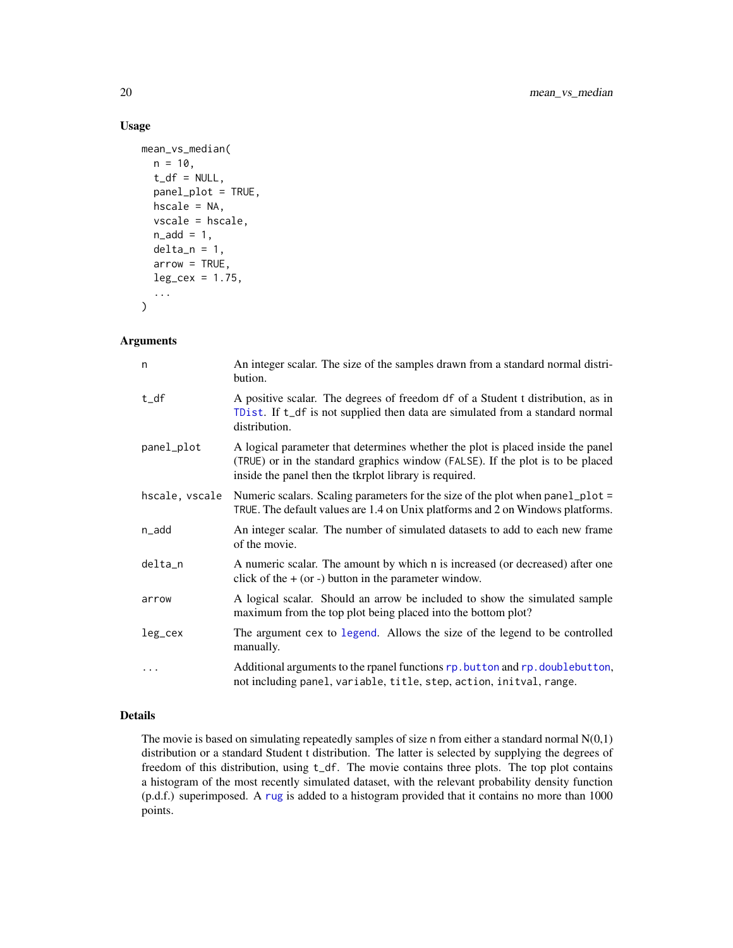# Usage

```
mean_vs_median(
 n = 10,
  t_df = NULL,
  panel_plot = TRUE,
  hscale = NA,
  vscale = hscale,
  n\_add = 1,delta_n = 1,
  arrow = TRUE,
  leg\_cex = 1.75,
  ...
)
```
#### Arguments

| n              | An integer scalar. The size of the samples drawn from a standard normal distri-<br>bution.                                                                                                                                  |
|----------------|-----------------------------------------------------------------------------------------------------------------------------------------------------------------------------------------------------------------------------|
| $t_d$          | A positive scalar. The degrees of freedom df of a Student t distribution, as in<br>TDist. If t_df is not supplied then data are simulated from a standard normal<br>distribution.                                           |
| panel_plot     | A logical parameter that determines whether the plot is placed inside the panel<br>(TRUE) or in the standard graphics window (FALSE). If the plot is to be placed<br>inside the panel then the tkrplot library is required. |
| hscale, vscale | Numeric scalars. Scaling parameters for the size of the plot when panel_plot =<br>TRUE. The default values are 1.4 on Unix platforms and 2 on Windows platforms.                                                            |
| n_add          | An integer scalar. The number of simulated datasets to add to each new frame<br>of the movie.                                                                                                                               |
| delta_n        | A numeric scalar. The amount by which n is increased (or decreased) after one<br>click of the $+$ (or -) button in the parameter window.                                                                                    |
| arrow          | A logical scalar. Should an arrow be included to show the simulated sample<br>maximum from the top plot being placed into the bottom plot?                                                                                  |
| leg_cex        | The argument cex to legend. Allows the size of the legend to be controlled<br>manually.                                                                                                                                     |
|                | Additional arguments to the rpanel functions rp. button and rp. doublebutton,<br>not including panel, variable, title, step, action, initval, range.                                                                        |

# Details

The movie is based on simulating repeatedly samples of size n from either a standard normal  $N(0,1)$ distribution or a standard Student t distribution. The latter is selected by supplying the degrees of freedom of this distribution, using  $t_d$  f. The movie contains three plots. The top plot contains a histogram of the most recently simulated dataset, with the relevant probability density function (p.d.f.) superimposed. A [rug](#page-0-0) is added to a histogram provided that it contains no more than 1000 points.

<span id="page-19-0"></span>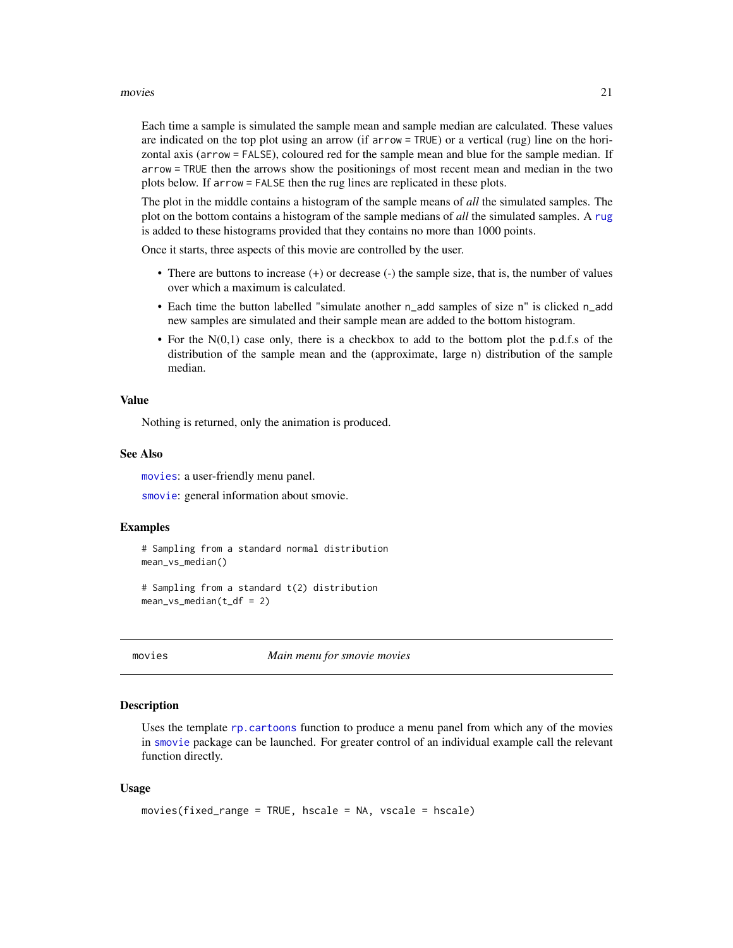#### <span id="page-20-0"></span>movies 21

Each time a sample is simulated the sample mean and sample median are calculated. These values are indicated on the top plot using an arrow (if arrow = TRUE) or a vertical (rug) line on the horizontal axis (arrow = FALSE), coloured red for the sample mean and blue for the sample median. If arrow = TRUE then the arrows show the positionings of most recent mean and median in the two plots below. If arrow = FALSE then the rug lines are replicated in these plots.

The plot in the middle contains a histogram of the sample means of *all* the simulated samples. The plot on the bottom contains a histogram of the sample medians of *all* the simulated samples. A [rug](#page-0-0) is added to these histograms provided that they contains no more than 1000 points.

Once it starts, three aspects of this movie are controlled by the user.

- There are buttons to increase (+) or decrease (-) the sample size, that is, the number of values over which a maximum is calculated.
- Each time the button labelled "simulate another n\_add samples of size n" is clicked n\_add new samples are simulated and their sample mean are added to the bottom histogram.
- For the  $N(0,1)$  case only, there is a checkbox to add to the bottom plot the p.d.f.s of the distribution of the sample mean and the (approximate, large n) distribution of the sample median.

#### Value

Nothing is returned, only the animation is produced.

#### See Also

[movies](#page-20-1): a user-friendly menu panel.

[smovie](#page-23-1): general information about smovie.

#### Examples

```
# Sampling from a standard normal distribution
mean_vs_median()
```

```
# Sampling from a standard t(2) distribution
mean_vs_median(t_df = 2)
```
<span id="page-20-1"></span>

movies *Main menu for smovie movies*

#### Description

Uses the template [rp.cartoons](#page-0-0) function to produce a menu panel from which any of the movies in [smovie](#page-23-1) package can be launched. For greater control of an individual example call the relevant function directly.

```
movies(fixed_range = TRUE, hscale = NA, vscale = hscale)
```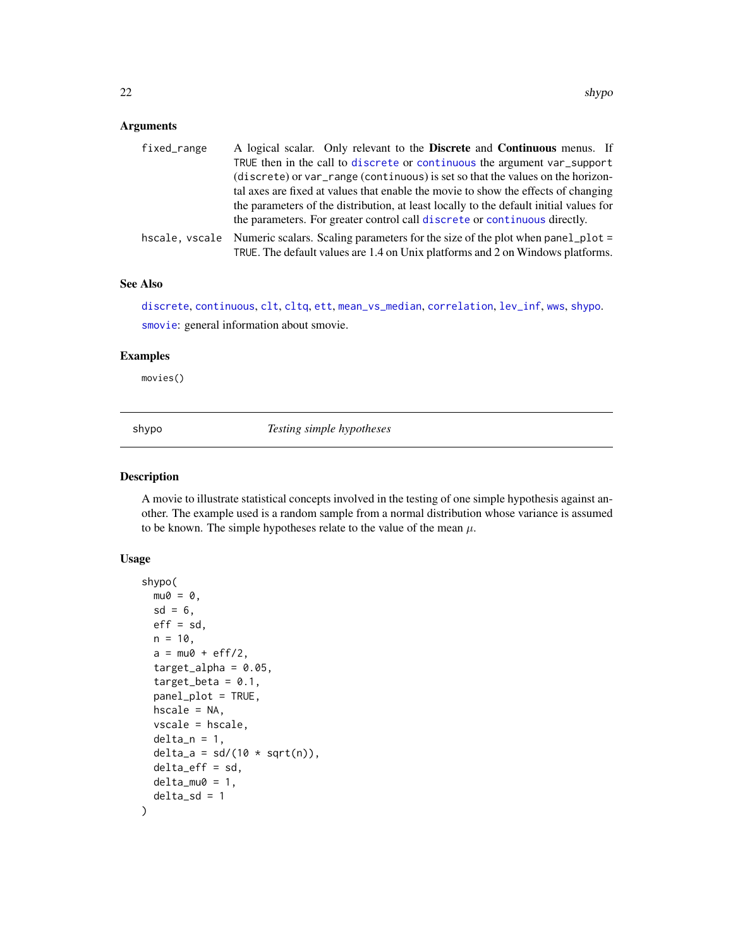# <span id="page-21-0"></span>Arguments

| fixed_range | A logical scalar. Only relevant to the Discrete and Continuous menus. If                                                                                                        |
|-------------|---------------------------------------------------------------------------------------------------------------------------------------------------------------------------------|
|             | TRUE then in the call to discrete or continuous the argument var_support                                                                                                        |
|             | (discrete) or var_range (continuous) is set so that the values on the horizon-                                                                                                  |
|             | tal axes are fixed at values that enable the movie to show the effects of changing                                                                                              |
|             | the parameters of the distribution, at least locally to the default initial values for                                                                                          |
|             | the parameters. For greater control call discrete or continuous directly.                                                                                                       |
|             | hscale, vscale Numeric scalars. Scaling parameters for the size of the plot when panel_plot =<br>TRUE. The default values are 1.4 on Unix platforms and 2 on Windows platforms. |

# See Also

[discrete](#page-10-1), [continuous](#page-6-1), [clt](#page-1-1), [cltq](#page-4-1), [ett](#page-13-1), [mean\\_vs\\_median](#page-18-1), [correlation](#page-9-1), [lev\\_inf](#page-17-1), [wws](#page-24-1), [shypo](#page-21-1). [smovie](#page-23-1): general information about smovie.

#### Examples

movies()

<span id="page-21-1"></span>shypo *Testing simple hypotheses*

#### Description

A movie to illustrate statistical concepts involved in the testing of one simple hypothesis against another. The example used is a random sample from a normal distribution whose variance is assumed to be known. The simple hypotheses relate to the value of the mean  $\mu$ .

```
shypo(
 mu0 = 0,
 sd = 6,
 eff = sd,
 n = 10,
 a = mu0 + eff/2,
  target_alpha = 0.05,
  target_beta = 0.1,
 panel_plot = TRUE,
 hscale = NA,
  vscale = hscale,
  delta_n = 1,
  delta_a = sd/(10 * sqrt(n)),
  delta_eff = sd,
 delta_mu0 = 1,
  delta_sd = 1)
```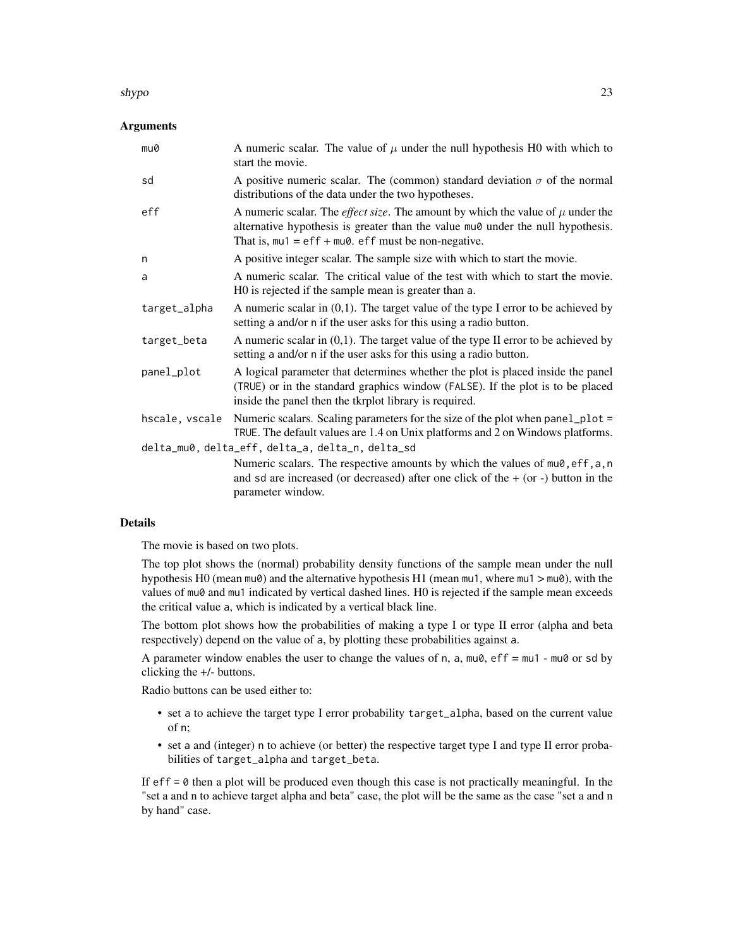#### shypo 23

#### Arguments

| mu0                                              | A numeric scalar. The value of $\mu$ under the null hypothesis H0 with which to<br>start the movie.                                                                                                                                      |
|--------------------------------------------------|------------------------------------------------------------------------------------------------------------------------------------------------------------------------------------------------------------------------------------------|
| sd                                               | A positive numeric scalar. The (common) standard deviation $\sigma$ of the normal<br>distributions of the data under the two hypotheses.                                                                                                 |
| eff                                              | A numeric scalar. The <i>effect size</i> . The amount by which the value of $\mu$ under the<br>alternative hypothesis is greater than the value mu0 under the null hypothesis.<br>That is, $mu1 = eff + mu0$ . eff must be non-negative. |
| n                                                | A positive integer scalar. The sample size with which to start the movie.                                                                                                                                                                |
| a                                                | A numeric scalar. The critical value of the test with which to start the movie.<br>HO is rejected if the sample mean is greater than a.                                                                                                  |
| target_alpha                                     | A numeric scalar in $(0,1)$ . The target value of the type I error to be achieved by<br>setting a and/or n if the user asks for this using a radio button.                                                                               |
| target_beta                                      | A numeric scalar in $(0,1)$ . The target value of the type II error to be achieved by<br>setting a and/or n if the user asks for this using a radio button.                                                                              |
| panel_plot                                       | A logical parameter that determines whether the plot is placed inside the panel<br>(TRUE) or in the standard graphics window (FALSE). If the plot is to be placed<br>inside the panel then the tkrplot library is required.              |
| hscale, vscale                                   | Numeric scalars. Scaling parameters for the size of the plot when panel_plot =<br>TRUE. The default values are 1.4 on Unix platforms and 2 on Windows platforms.                                                                         |
| delta_mu0, delta_eff, delta_a, delta_n, delta_sd |                                                                                                                                                                                                                                          |
|                                                  | Numeric scalars. The respective amounts by which the values of mu0, eff, a, n<br>and sd are increased (or decreased) after one click of the $+$ (or -) button in the<br>parameter window.                                                |

#### Details

The movie is based on two plots.

The top plot shows the (normal) probability density functions of the sample mean under the null hypothesis H0 (mean mu0) and the alternative hypothesis H1 (mean mu1, where mu1 > mu0), with the values of mu0 and mu1 indicated by vertical dashed lines. H0 is rejected if the sample mean exceeds the critical value a, which is indicated by a vertical black line.

The bottom plot shows how the probabilities of making a type I or type II error (alpha and beta respectively) depend on the value of a, by plotting these probabilities against a.

A parameter window enables the user to change the values of n, a, mu0,  $eff = mu1$  - mu0 or sd by clicking the +/- buttons.

Radio buttons can be used either to:

- set a to achieve the target type I error probability target\_alpha, based on the current value of n;
- set a and (integer) n to achieve (or better) the respective target type I and type II error probabilities of target\_alpha and target\_beta.

If  $eff = 0$  then a plot will be produced even though this case is not practically meaningful. In the "set a and n to achieve target alpha and beta" case, the plot will be the same as the case "set a and n by hand" case.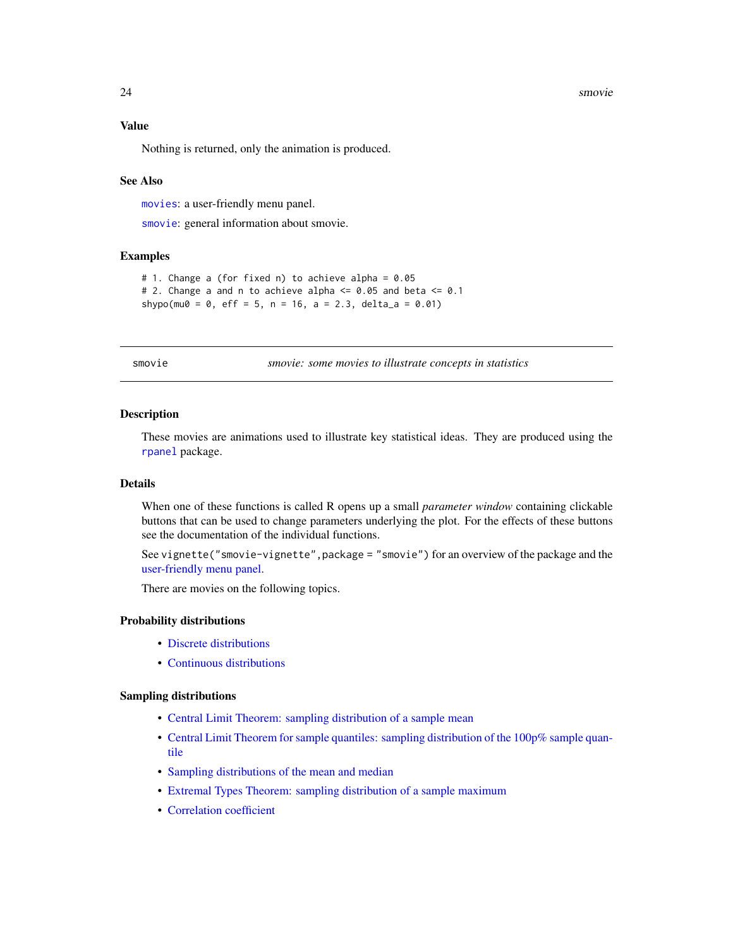<span id="page-23-0"></span>24 smovie and the state of the state of the state of the state of the state of the state of the state of the state of the state of the state of the state of the state of the state of the state of the state of the state of

#### Value

Nothing is returned, only the animation is produced.

#### See Also

[movies](#page-20-1): a user-friendly menu panel.

[smovie](#page-23-1): general information about smovie.

#### Examples

```
# 1. Change a (for fixed n) to achieve alpha = 0.05
# 2. Change a and n to achieve alpha \leq 0.05 and beta \leq 0.1shypo(mu0 = 0, eff = 5, n = 16, a = 2.3, delta_a = 0.01)
```
<span id="page-23-1"></span>smovie *smovie: some movies to illustrate concepts in statistics*

#### Description

These movies are animations used to illustrate key statistical ideas. They are produced using the [rpanel](#page-0-0) package.

#### Details

When one of these functions is called R opens up a small *parameter window* containing clickable buttons that can be used to change parameters underlying the plot. For the effects of these buttons see the documentation of the individual functions.

See vignette("smovie-vignette", package = "smovie") for an overview of the package and the [user-friendly menu panel.](#page-20-1)

There are movies on the following topics.

#### Probability distributions

- [Discrete distributions](#page-10-1)
- [Continuous distributions](#page-6-1)

#### Sampling distributions

- [Central Limit Theorem: sampling distribution of a sample mean](#page-1-1)
- [Central Limit Theorem for sample quantiles: sampling distribution of the 100p% sample quan](#page-1-1)[tile](#page-1-1)
- [Sampling distributions of the mean and median](#page-18-1)
- [Extremal Types Theorem: sampling distribution of a sample maximum](#page-13-1)
- [Correlation coefficient](#page-9-1)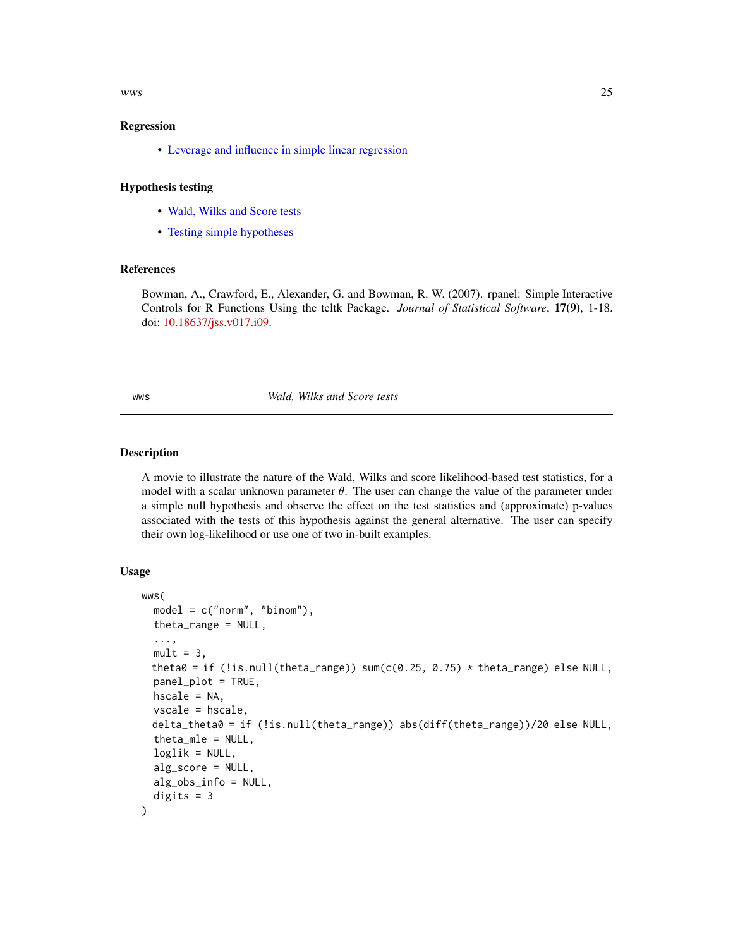<span id="page-24-0"></span> $wws$  25

#### Regression

• [Leverage and influence in simple linear regression](#page-17-1)

#### Hypothesis testing

- [Wald, Wilks and Score tests](#page-24-1)
- [Testing simple hypotheses](#page-21-1)

## References

Bowman, A., Crawford, E., Alexander, G. and Bowman, R. W. (2007). rpanel: Simple Interactive Controls for R Functions Using the tcltk Package. *Journal of Statistical Software*, 17(9), 1-18. doi: [10.18637/jss.v017.i09.](https://doi.org/10.18637/jss.v017.i09)

<span id="page-24-1"></span>wws *Wald, Wilks and Score tests*

# **Description**

A movie to illustrate the nature of the Wald, Wilks and score likelihood-based test statistics, for a model with a scalar unknown parameter  $\theta$ . The user can change the value of the parameter under a simple null hypothesis and observe the effect on the test statistics and (approximate) p-values associated with the tests of this hypothesis against the general alternative. The user can specify their own log-likelihood or use one of two in-built examples.

```
wws(
  model = c("norm", "binom");theta_range = NULL,
  ...,
 mult = 3,
 theta0 = if (!is.null(theta_range)) sum(c(0.25, 0.75) * theta_range) else NULL,
  panel_plot = TRUE,
 hscale = NA,
  vscale = hscale,
 delta_theta0 = if (!is.null(theta_range)) abs(diff(theta_range))/20 else NULL,
  theta_mle = NULL,
  loglik = NULL,
  alg_score = NULL,
  alg_obs_info = NULL,
  digits = 3)
```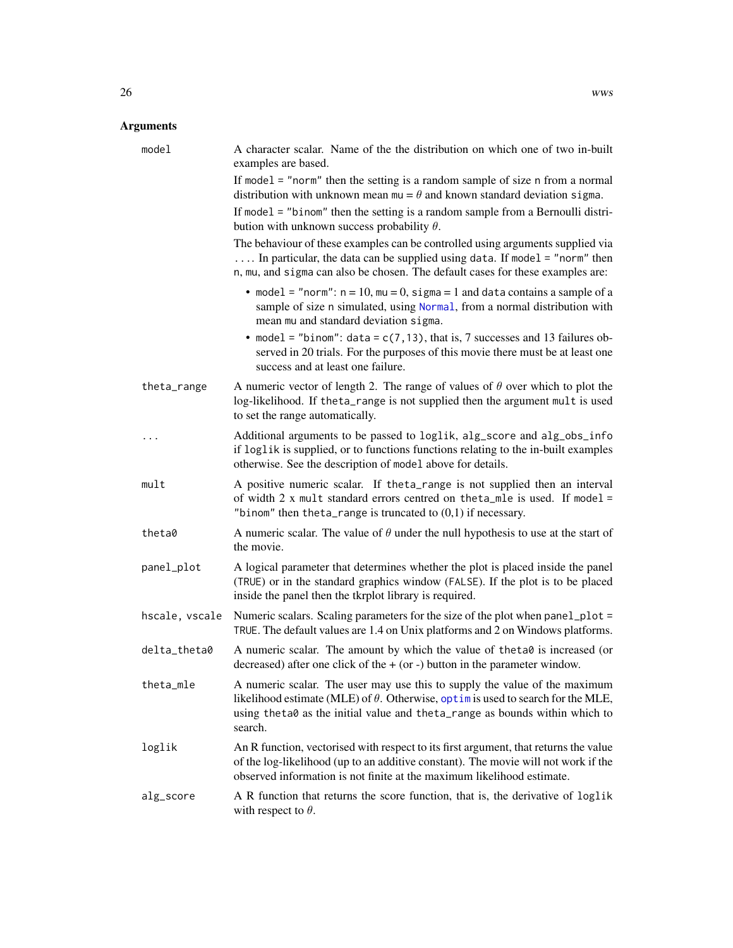<span id="page-25-0"></span>

| model          | A character scalar. Name of the the distribution on which one of two in-built<br>examples are based.                                                                                                                                                           |
|----------------|----------------------------------------------------------------------------------------------------------------------------------------------------------------------------------------------------------------------------------------------------------------|
|                | If model $=$ "norm" then the setting is a random sample of size $n$ from a normal<br>distribution with unknown mean $mu = \theta$ and known standard deviation sigma.                                                                                          |
|                | If model $=$ "binom" then the setting is a random sample from a Bernoulli distri-<br>bution with unknown success probability $\theta$ .                                                                                                                        |
|                | The behaviour of these examples can be controlled using arguments supplied via<br>In particular, the data can be supplied using data. If model = "norm" then<br>n, mu, and sigma can also be chosen. The default cases for these examples are:                 |
|                | • model = "norm": $n = 10$ , $mu = 0$ , sigma = 1 and data contains a sample of a<br>sample of size n simulated, using Normal, from a normal distribution with<br>mean mu and standard deviation sigma.                                                        |
|                | • model = "binom": data = $c(7, 13)$ , that is, 7 successes and 13 failures ob-<br>served in 20 trials. For the purposes of this movie there must be at least one<br>success and at least one failure.                                                         |
| theta_range    | A numeric vector of length 2. The range of values of $\theta$ over which to plot the<br>log-likelihood. If theta_range is not supplied then the argument mult is used<br>to set the range automatically.                                                       |
| .              | Additional arguments to be passed to loglik, alg_score and alg_obs_info<br>if loglik is supplied, or to functions functions relating to the in-built examples<br>otherwise. See the description of model above for details.                                    |
| mult           | A positive numeric scalar. If the ta_range is not supplied then an interval<br>of width 2 x mult standard errors centred on theta_mle is used. If model =<br>"binom" then the ta_range is truncated to $(0,1)$ if necessary.                                   |
| theta0         | A numeric scalar. The value of $\theta$ under the null hypothesis to use at the start of<br>the movie.                                                                                                                                                         |
| panel_plot     | A logical parameter that determines whether the plot is placed inside the panel<br>(TRUE) or in the standard graphics window (FALSE). If the plot is to be placed<br>inside the panel then the tkrplot library is required.                                    |
| hscale, vscale | Numeric scalars. Scaling parameters for the size of the plot when panel_plot =<br>TRUE. The default values are 1.4 on Unix platforms and 2 on Windows platforms.                                                                                               |
| delta_theta0   | A numeric scalar. The amount by which the value of the ta0 is increased (or<br>decreased) after one click of the $+$ (or -) button in the parameter window.                                                                                                    |
| theta_mle      | A numeric scalar. The user may use this to supply the value of the maximum<br>likelihood estimate (MLE) of $\theta$ . Otherwise, optimis used to search for the MLE,<br>using theta0 as the initial value and theta_range as bounds within which to<br>search. |
| loglik         | An R function, vectorised with respect to its first argument, that returns the value<br>of the log-likelihood (up to an additive constant). The movie will not work if the<br>observed information is not finite at the maximum likelihood estimate.           |
| alg_score      | A R function that returns the score function, that is, the derivative of loglik<br>with respect to $\theta$ .                                                                                                                                                  |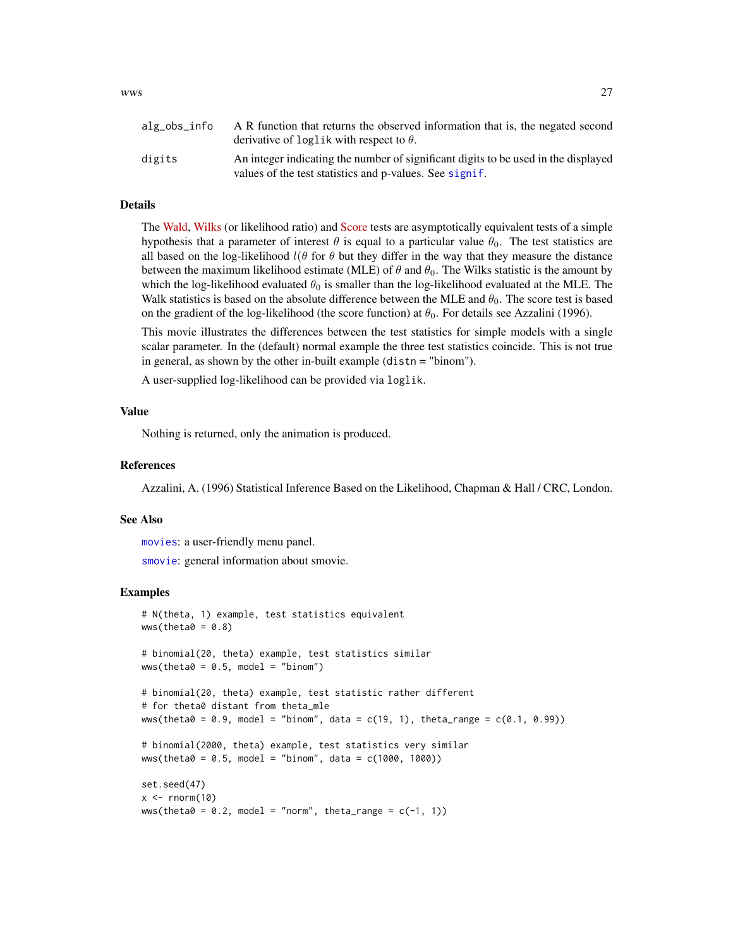<span id="page-26-0"></span>

| alg_obs_info | A R function that returns the observed information that is, the negated second<br>derivative of loglik with respect to $\theta$ .             |
|--------------|-----------------------------------------------------------------------------------------------------------------------------------------------|
| digits       | An integer indicating the number of significant digits to be used in the displayed<br>values of the test statistics and p-values. See signif. |

#### Details

The [Wald,](https://en.wikipedia.org/wiki/Wald_test) [Wilks](https://en.wikipedia.org/wiki/Likelihood-ratio_test) (or likelihood ratio) and [Score](https://en.wikipedia.org/wiki/Score_test) tests are asymptotically equivalent tests of a simple hypothesis that a parameter of interest  $\theta$  is equal to a particular value  $\theta_0$ . The test statistics are all based on the log-likelihood  $l(\theta \text{ for } \theta)$  but they differ in the way that they measure the distance between the maximum likelihood estimate (MLE) of  $\theta$  and  $\theta_0$ . The Wilks statistic is the amount by which the log-likelihood evaluated  $\theta_0$  is smaller than the log-likelihood evaluated at the MLE. The Walk statistics is based on the absolute difference between the MLE and  $\theta_0$ . The score test is based on the gradient of the log-likelihood (the score function) at  $\theta_0$ . For details see Azzalini (1996).

This movie illustrates the differences between the test statistics for simple models with a single scalar parameter. In the (default) normal example the three test statistics coincide. This is not true in general, as shown by the other in-built example (distn = "binom").

A user-supplied log-likelihood can be provided via loglik.

#### Value

Nothing is returned, only the animation is produced.

#### References

Azzalini, A. (1996) Statistical Inference Based on the Likelihood, Chapman & Hall / CRC, London.

#### See Also

[movies](#page-20-1): a user-friendly menu panel.

[smovie](#page-23-1): general information about smovie.

#### Examples

```
# N(theta, 1) example, test statistics equivalent
wws(theta0 = 0.8)
# binomial(20, theta) example, test statistics similar
wws(theta0 = 0.5, model = "binom")# binomial(20, theta) example, test statistic rather different
# for theta0 distant from theta_mle
wws(theta0 = 0.9, model = "binom", data = c(19, 1), theta_range = c(0.1, 0.99))# binomial(2000, theta) example, test statistics very similar
wws(theta0 = 0.5, model = "binom", data = c(1000, 1000))
set.seed(47)
x \le - rnorm(10)
wws(theta0 = 0.2, model = "norm", theta_range = c(-1, 1))
```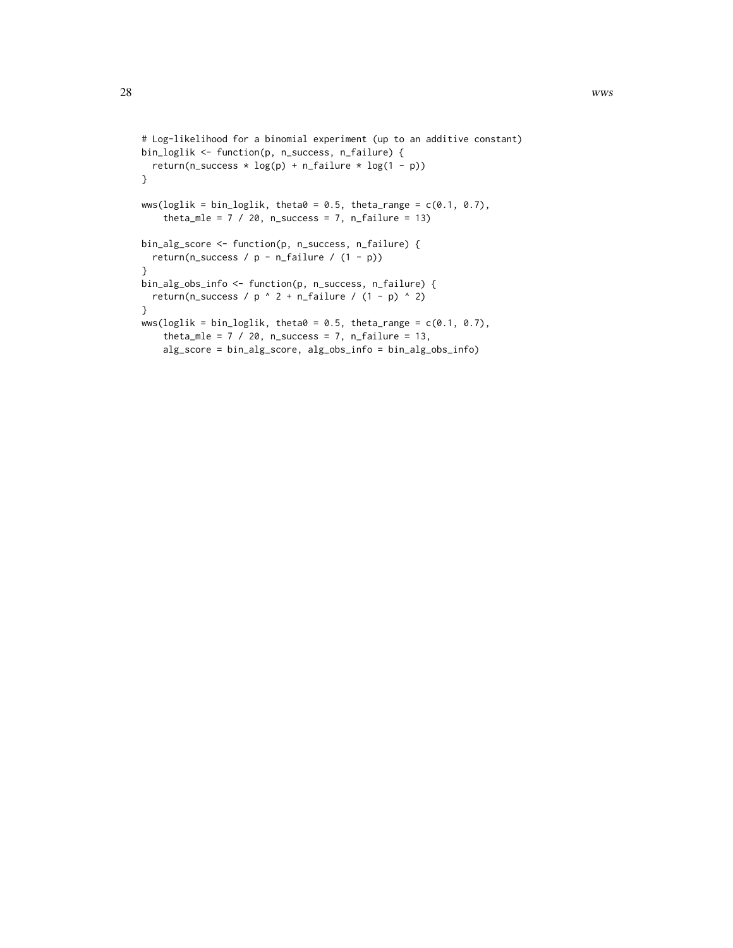```
# Log-likelihood for a binomial experiment (up to an additive constant)
bin_loglik <- function(p, n_success, n_failure) {
 return(n_success * log(p) + n_failure * log(1 - p))
}
wws(loglik = bin_loglik, theta0 = 0.5, theta_range = c(0.1, 0.7),theta_mle = 7 / 20, n_success = 7, n_failure = 13)
bin_alg_score <- function(p, n_success, n_failure) {
  return(n_success / p - n_failure / (1 - p))
}
bin_alg_obs_info <- function(p, n_success, n_failure) {
  return(n_success / p ^ 2 + n_failure / (1 - p) ^ 2)
}
wws(loglik = bin_loglik, theta0 = 0.5, theta_range = c(0.1, 0.7),theta_mle = 7 / 20, n_success = 7, n_failure = 13,
    alg_score = bin_alg_score, alg_obs_info = bin_alg_obs_info)
```